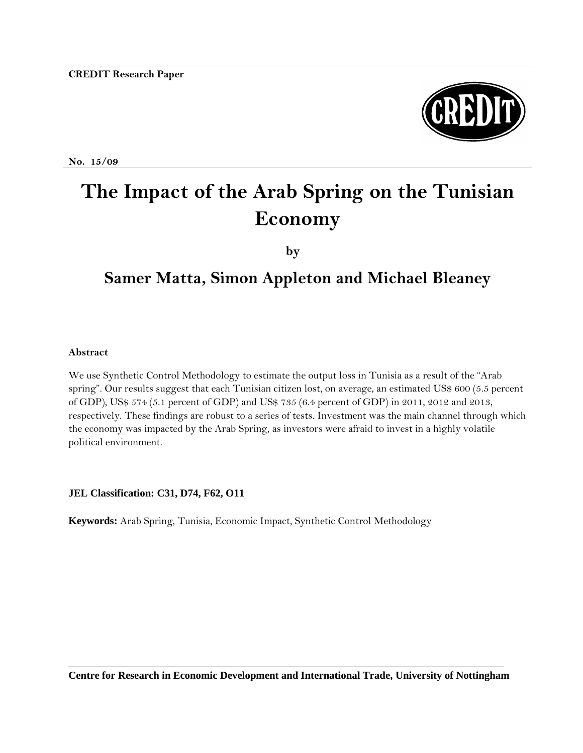

**No. 15/09** 

# **The Impact of the Arab Spring on the Tunisian Economy**

**by**

# **Samer Matta, Simon Appleton and Michael Bleaney**

#### **Abstract**

We use Synthetic Control Methodology to estimate the output loss in Tunisia as a result of the "Arab spring". Our results suggest that each Tunisian citizen lost, on average, an estimated US\$ 600 (5.5 percent of GDP), US\$ 574 (5.1 percent of GDP) and US\$ 735 (6.4 percent of GDP) in 2011, 2012 and 2013, respectively. These findings are robust to a series of tests. Investment was the main channel through which the economy was impacted by the Arab Spring, as investors were afraid to invest in a highly volatile political environment.

#### **JEL Classification: C31, D74, F62, O11**

**Keywords:** Arab Spring, Tunisia, Economic Impact, Synthetic Control Methodology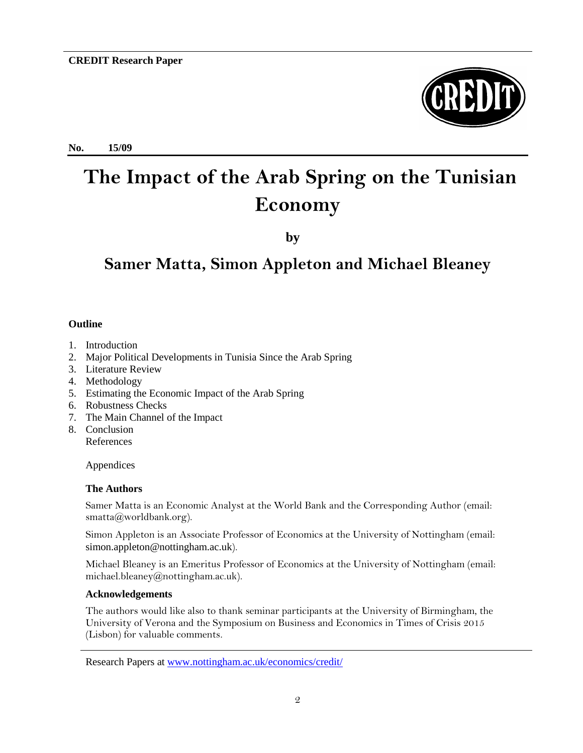**No. 15/09**



# **The Impact of the Arab Spring on the Tunisian Economy**

**by**

## **Samer Matta, Simon Appleton and Michael Bleaney**

#### **Outline**

- 1. Introduction
- 2. Major Political Developments in Tunisia Since the Arab Spring
- 3. Literature Review
- 4. Methodology
- 5. Estimating the Economic Impact of the Arab Spring
- 6. Robustness Checks
- 7. The Main Channel of the Impact
- 8. Conclusion References

Appendices

#### **The Authors**

Samer Matta is an Economic Analyst at the World Bank and the Corresponding Author (email: smatta@worldbank.org).

Simon Appleton is an Associate Professor of Economics at the University of Nottingham (email: [simon.appleton@nottingham.ac.uk](mailto:simon.appleton@nottingham.ac.uk)).

Michael Bleaney is an Emeritus Professor of Economics at the University of Nottingham (email: [michael.bleaney@nottingham.ac.uk\)](mailto:michael.bleaney@nottingham.ac.uk).

#### **Acknowledgements**

The authors would like also to thank seminar participants at the University of Birmingham, the University of Verona and the Symposium on Business and Economics in Times of Crisis 2015 (Lisbon) for valuable comments.

Research Papers a[t www.nottingham.ac.uk/economics/credit/](http://www.nottingham.ac.uk/economics/credit/)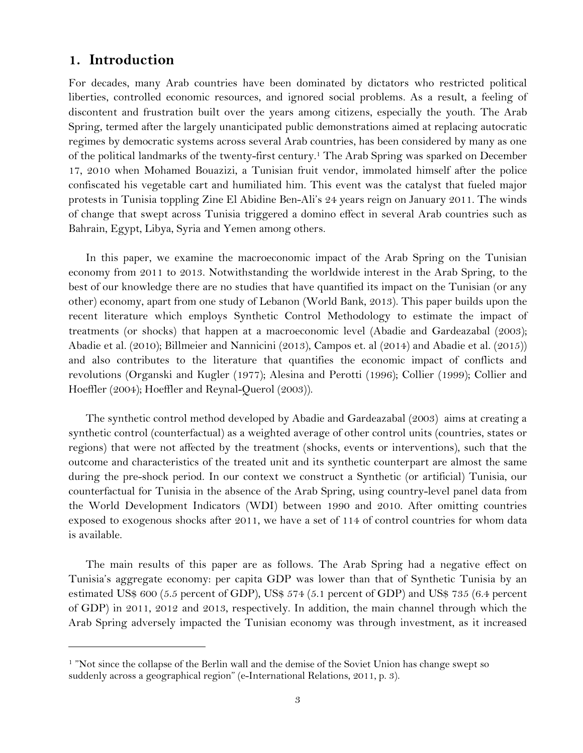## **1. Introduction**

l

For decades, many Arab countries have been dominated by dictators who restricted political liberties, controlled economic resources, and ignored social problems. As a result, a feeling of discontent and frustration built over the years among citizens, especially the youth. The Arab Spring, termed after the largely unanticipated public demonstrations aimed at replacing autocratic regimes by democratic systems across several Arab countries, has been considered by many as one of the political landmarks of the twenty-first century.<sup>1</sup> The Arab Spring was sparked on December 17, 2010 when Mohamed Bouazizi, a Tunisian fruit vendor, immolated himself after the police confiscated his vegetable cart and humiliated him. This event was the catalyst that fueled major protests in Tunisia toppling Zine El Abidine Ben-Ali's 24 years reign on January 2011. The winds of change that swept across Tunisia triggered a domino effect in several Arab countries such as Bahrain, Egypt, Libya, Syria and Yemen among others.

In this paper, we examine the macroeconomic impact of the Arab Spring on the Tunisian economy from 2011 to 2013. Notwithstanding the worldwide interest in the Arab Spring, to the best of our knowledge there are no studies that have quantified its impact on the Tunisian (or any other) economy, apart from one study of Lebanon (World Bank, 2013). This paper builds upon the recent literature which employs Synthetic Control Methodology to estimate the impact of treatments (or shocks) that happen at a macroeconomic level (Abadie and Gardeazabal (2003); Abadie et al. (2010); Billmeier and Nannicini (2013), Campos et. al (2014) and Abadie et al. (2015)) and also contributes to the literature that quantifies the economic impact of conflicts and revolutions (Organski and Kugler (1977); Alesina and Perotti (1996); Collier (1999); Collier and Hoeffler (2004); Hoeffler and Reynal-Querol (2003)).

The synthetic control method developed by Abadie and Gardeazabal (2003) aims at creating a synthetic control (counterfactual) as a weighted average of other control units (countries, states or regions) that were not affected by the treatment (shocks, events or interventions), such that the outcome and characteristics of the treated unit and its synthetic counterpart are almost the same during the pre-shock period. In our context we construct a Synthetic (or artificial) Tunisia, our counterfactual for Tunisia in the absence of the Arab Spring, using country-level panel data from the World Development Indicators (WDI) between 1990 and 2010. After omitting countries exposed to exogenous shocks after 2011, we have a set of 114 of control countries for whom data is available.

The main results of this paper are as follows. The Arab Spring had a negative effect on Tunisia's aggregate economy: per capita GDP was lower than that of Synthetic Tunisia by an estimated US\$ 600 (5.5 percent of GDP), US\$ 574 (5.1 percent of GDP) and US\$ 735 (6.4 percent of GDP) in 2011, 2012 and 2013, respectively. In addition, the main channel through which the Arab Spring adversely impacted the Tunisian economy was through investment, as it increased

<sup>&</sup>lt;sup>1</sup> "Not since the collapse of the Berlin wall and the demise of the Soviet Union has change swept so suddenly across a geographical region" (e-International Relations, 2011, p. 3).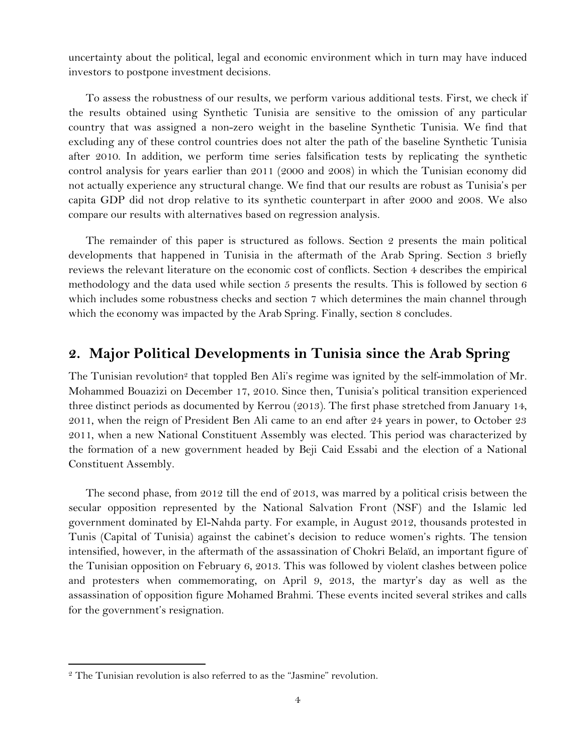uncertainty about the political, legal and economic environment which in turn may have induced investors to postpone investment decisions.

To assess the robustness of our results, we perform various additional tests. First, we check if the results obtained using Synthetic Tunisia are sensitive to the omission of any particular country that was assigned a non-zero weight in the baseline Synthetic Tunisia. We find that excluding any of these control countries does not alter the path of the baseline Synthetic Tunisia after 2010. In addition, we perform time series falsification tests by replicating the synthetic control analysis for years earlier than 2011 (2000 and 2008) in which the Tunisian economy did not actually experience any structural change. We find that our results are robust as Tunisia's per capita GDP did not drop relative to its synthetic counterpart in after 2000 and 2008. We also compare our results with alternatives based on regression analysis.

The remainder of this paper is structured as follows. Section 2 presents the main political developments that happened in Tunisia in the aftermath of the Arab Spring. Section 3 briefly reviews the relevant literature on the economic cost of conflicts. Section 4 describes the empirical methodology and the data used while section 5 presents the results. This is followed by section 6 which includes some robustness checks and section 7 which determines the main channel through which the economy was impacted by the Arab Spring. Finally, section 8 concludes.

## **2. Major Political Developments in Tunisia since the Arab Spring**

The Tunisian revolution<sup>2</sup> that toppled Ben Ali's regime was ignited by the self-immolation of Mr. Mohammed Bouazizi on December 17, 2010. Since then, Tunisia's political transition experienced three distinct periods as documented by Kerrou (2013). The first phase stretched from January 14, 2011, when the reign of President Ben Ali came to an end after 24 years in power, to October 23 2011, when a new National Constituent Assembly was elected. This period was characterized by the formation of a new government headed by Beji Caid Essabi and the election of a National Constituent Assembly.

The second phase, from 2012 till the end of 2013, was marred by a political crisis between the secular opposition represented by the National Salvation Front (NSF) and the Islamic led government dominated by El-Nahda party. For example, in August 2012, thousands protested in Tunis (Capital of Tunisia) against the cabinet's decision to reduce women's rights. The tension intensified, however, in the aftermath of the assassination of Chokri Belaïd, an important figure of the Tunisian opposition on February 6, 2013. This was followed by violent clashes between police and protesters when commemorating, on April 9, 2013, the martyr's day as well as the assassination of opposition figure Mohamed Brahmi. These events incited several strikes and calls for the government's resignation.

l

<sup>&</sup>lt;sup>2</sup> The Tunisian revolution is also referred to as the "Jasmine" revolution.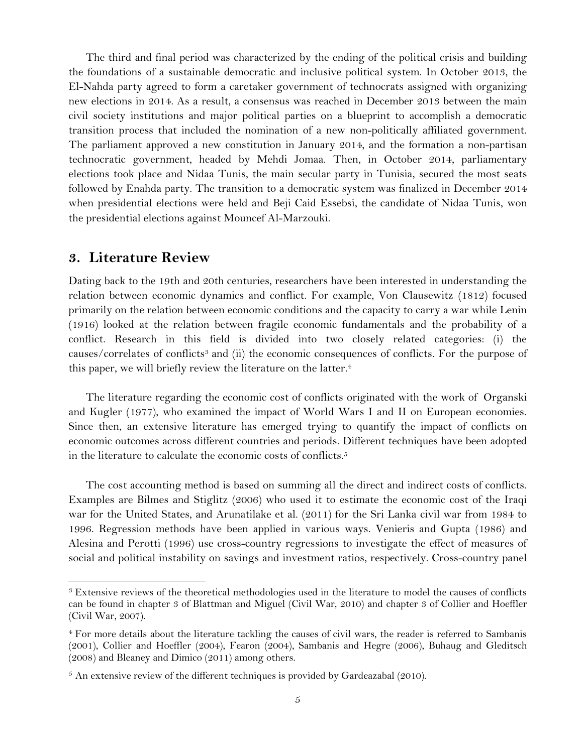The third and final period was characterized by the ending of the political crisis and building the foundations of a sustainable democratic and inclusive political system. In October 2013, the El-Nahda party agreed to form a caretaker government of technocrats assigned with organizing new elections in 2014. As a result, a consensus was reached in December 2013 between the main civil society institutions and major political parties on a blueprint to accomplish a democratic transition process that included the nomination of a new non-politically affiliated government. The parliament approved a new constitution in January 2014, and the formation a non-partisan technocratic government, headed by Mehdi Jomaa. Then, in October 2014, parliamentary elections took place and Nidaa Tunis, the main secular party in Tunisia, secured the most seats followed by Enahda party. The transition to a democratic system was finalized in December 2014 when presidential elections were held and Beji Caid Essebsi, the candidate of Nidaa Tunis, won the presidential elections against Mouncef Al-Marzouki.

## **3. Literature Review**

l

Dating back to the 19th and 20th centuries, researchers have been interested in understanding the relation between economic dynamics and conflict. For example, Von Clausewitz (1812) focused primarily on the relation between economic conditions and the capacity to carry a war while Lenin (1916) looked at the relation between fragile economic fundamentals and the probability of a conflict. Research in this field is divided into two closely related categories: (i) the causes/correlates of conflicts<sup>3</sup> and (ii) the economic consequences of conflicts. For the purpose of this paper, we will briefly review the literature on the latter.<sup>4</sup>

The literature regarding the economic cost of conflicts originated with the work of Organski and Kugler (1977), who examined the impact of World Wars I and II on European economies. Since then, an extensive literature has emerged trying to quantify the impact of conflicts on economic outcomes across different countries and periods. Different techniques have been adopted in the literature to calculate the economic costs of conflicts.<sup>5</sup>

The cost accounting method is based on summing all the direct and indirect costs of conflicts. Examples are Bilmes and Stiglitz (2006) who used it to estimate the economic cost of the Iraqi war for the United States, and Arunatilake et al. (2011) for the Sri Lanka civil war from 1984 to 1996. Regression methods have been applied in various ways. Venieris and Gupta (1986) and Alesina and Perotti (1996) use cross-country regressions to investigate the effect of measures of social and political instability on savings and investment ratios, respectively. Cross-country panel

<sup>3</sup> Extensive reviews of the theoretical methodologies used in the literature to model the causes of conflicts can be found in chapter 3 of Blattman and Miguel (Civil War, 2010) and chapter 3 of Collier and Hoeffler (Civil War, 2007).

<sup>4</sup> For more details about the literature tackling the causes of civil wars, the reader is referred to Sambanis (2001), Collier and Hoeffler (2004), Fearon (2004), Sambanis and Hegre (2006), Buhaug and Gleditsch (2008) and Bleaney and Dimico (2011) among others.

 $<sup>5</sup>$  An extensive review of the different techniques is provided by Gardeazabal (2010).</sup>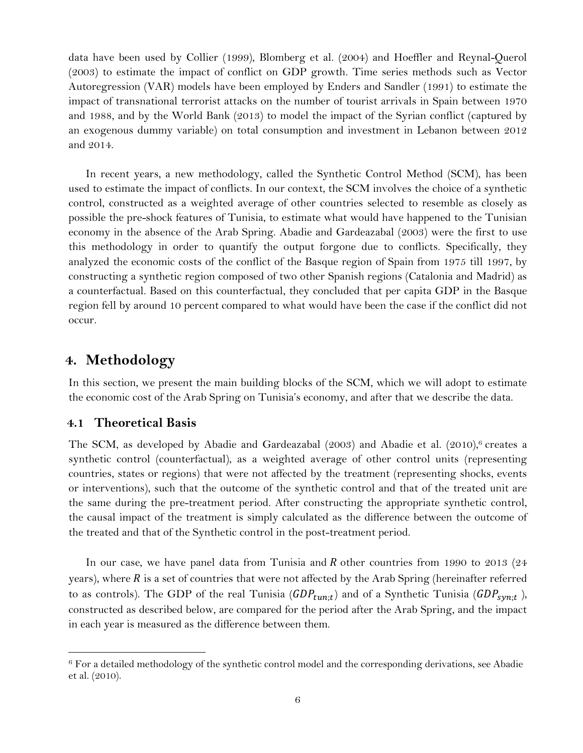data have been used by Collier (1999), Blomberg et al. (2004) and Hoeffler and Reynal-Querol (2003) to estimate the impact of conflict on GDP growth. Time series methods such as Vector Autoregression (VAR) models have been employed by Enders and Sandler (1991) to estimate the impact of transnational terrorist attacks on the number of tourist arrivals in Spain between 1970 and 1988, and by the World Bank (2013) to model the impact of the Syrian conflict (captured by an exogenous dummy variable) on total consumption and investment in Lebanon between 2012 and 2014.

In recent years, a new methodology, called the Synthetic Control Method (SCM), has been used to estimate the impact of conflicts. In our context, the SCM involves the choice of a synthetic control, constructed as a weighted average of other countries selected to resemble as closely as possible the pre-shock features of Tunisia, to estimate what would have happened to the Tunisian economy in the absence of the Arab Spring. Abadie and Gardeazabal (2003) were the first to use this methodology in order to quantify the output forgone due to conflicts. Specifically, they analyzed the economic costs of the conflict of the Basque region of Spain from 1975 till 1997, by constructing a synthetic region composed of two other Spanish regions (Catalonia and Madrid) as a counterfactual. Based on this counterfactual, they concluded that per capita GDP in the Basque region fell by around 10 percent compared to what would have been the case if the conflict did not occur.

## **4. Methodology**

In this section, we present the main building blocks of the SCM, which we will adopt to estimate the economic cost of the Arab Spring on Tunisia's economy, and after that we describe the data.

#### **4.1 Theoretical Basis**

l

The SCM, as developed by Abadie and Gardeazabal (2003) and Abadie et al. (2010), <sup>6</sup> creates a synthetic control (counterfactual), as a weighted average of other control units (representing countries, states or regions) that were not affected by the treatment (representing shocks, events or interventions), such that the outcome of the synthetic control and that of the treated unit are the same during the pre-treatment period. After constructing the appropriate synthetic control, the causal impact of the treatment is simply calculated as the difference between the outcome of the treated and that of the Synthetic control in the post-treatment period.

In our case, we have panel data from Tunisia and  $R$  other countries from 1990 to 2013 (24 years), where  $R$  is a set of countries that were not affected by the Arab Spring (hereinafter referred to as controls). The GDP of the real Tunisia  $(GDP_{tun;t})$  and of a Synthetic Tunisia  $(GDP_{syn;t})$ , constructed as described below, are compared for the period after the Arab Spring, and the impact in each year is measured as the difference between them.

<sup>6</sup> For a detailed methodology of the synthetic control model and the corresponding derivations, see Abadie et al. (2010).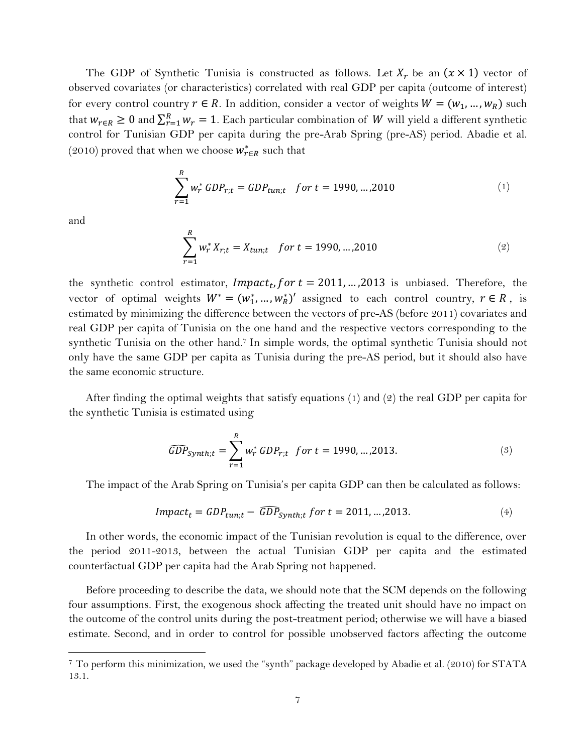The GDP of Synthetic Tunisia is constructed as follows. Let  $X_r$  be an  $(x \times 1)$  vector of observed covariates (or characteristics) correlated with real GDP per capita (outcome of interest) for every control country  $r \in R$ . In addition, consider a vector of weights  $W = (w_1, ..., w_R)$  such that  $w_{r \in R} \ge 0$  and  $\sum_{r=1}^{R} w_r = 1$ . Each particular combination of W will yield a different synthetic control for Tunisian GDP per capita during the pre-Arab Spring (pre-AS) period. Abadie et al. (2010) proved that when we choose  $w^*_{r \in R}$  such that

$$
\sum_{r=1}^{R} w_r^* GDP_{r,t} = GDP_{tun,t} \quad for \ t = 1990, \dots, 2010 \tag{1}
$$

and

l

<span id="page-6-1"></span><span id="page-6-0"></span>
$$
\sum_{r=1}^{R} w_r^* X_{r;t} = X_{tun;t} \quad \text{for } t = 1990, \dots, 2010 \tag{2}
$$

the synthetic control estimator, *Impact<sub>t</sub>*, *for t* = 2011, ..., 2013 is unbiased. Therefore, the vector of optimal weights  $W^* = (w_1^*, ..., w_R^*)'$  assigned to each control country,  $r \in R$ , is estimated by minimizing the difference between the vectors of pre-AS (before 2011) covariates and real GDP per capita of Tunisia on the one hand and the respective vectors corresponding to the synthetic Tunisia on the other hand. <sup>7</sup> In simple words, the optimal synthetic Tunisia should not only have the same GDP per capita as Tunisia during the pre-AS period, but it should also have the same economic structure.

After finding the optimal weights that satisfy equations ([1](#page-6-0)) and [\(2\)](#page-6-1) the real GDP per capita for the synthetic Tunisia is estimated using

$$
\widehat{GDP}_{synth;t} = \sum_{r=1}^{R} w_r^* \, GDP_{r;t} \quad \text{for } t = 1990, \dots, 2013. \tag{3}
$$

The impact of the Arab Spring on Tunisia's per capita GDP can then be calculated as follows:

$$
Impact_t = GDP_{tun;t} - \widehat{GDP}_{synth;t} \ for \ t = 2011, \dots, 2013. \tag{4}
$$

In other words, the economic impact of the Tunisian revolution is equal to the difference, over the period 2011-2013, between the actual Tunisian GDP per capita and the estimated counterfactual GDP per capita had the Arab Spring not happened.

Before proceeding to describe the data, we should note that the SCM depends on the following four assumptions. First, the exogenous shock affecting the treated unit should have no impact on the outcome of the control units during the post-treatment period; otherwise we will have a biased estimate. Second, and in order to control for possible unobserved factors affecting the outcome

<sup>7</sup> To perform this minimization, we used the "synth" package developed by Abadie et al. (2010) for STATA 13.1.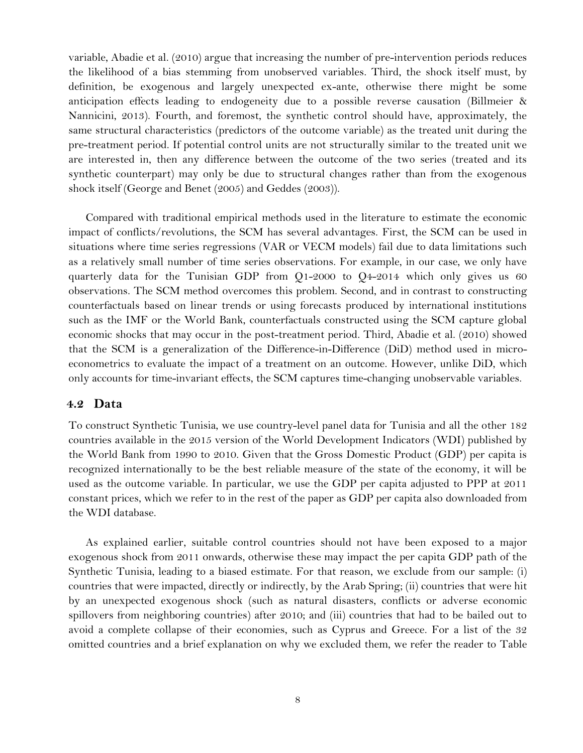variable, Abadie et al. (2010) argue that increasing the number of pre-intervention periods reduces the likelihood of a bias stemming from unobserved variables. Third, the shock itself must, by definition, be exogenous and largely unexpected ex-ante, otherwise there might be some anticipation effects leading to endogeneity due to a possible reverse causation (Billmeier & Nannicini, 2013). Fourth, and foremost, the synthetic control should have, approximately, the same structural characteristics (predictors of the outcome variable) as the treated unit during the pre-treatment period. If potential control units are not structurally similar to the treated unit we are interested in, then any difference between the outcome of the two series (treated and its synthetic counterpart) may only be due to structural changes rather than from the exogenous shock itself (George and Benet (2005) and Geddes (2003)).

Compared with traditional empirical methods used in the literature to estimate the economic impact of conflicts/revolutions, the SCM has several advantages. First, the SCM can be used in situations where time series regressions (VAR or VECM models) fail due to data limitations such as a relatively small number of time series observations. For example, in our case, we only have quarterly data for the Tunisian GDP from Q1-2000 to Q4-2014 which only gives us 60 observations. The SCM method overcomes this problem. Second, and in contrast to constructing counterfactuals based on linear trends or using forecasts produced by international institutions such as the IMF or the World Bank, counterfactuals constructed using the SCM capture global economic shocks that may occur in the post-treatment period. Third, Abadie et al. (2010) showed that the SCM is a generalization of the Difference-in-Difference (DiD) method used in microeconometrics to evaluate the impact of a treatment on an outcome. However, unlike DiD, which only accounts for time-invariant effects, the SCM captures time-changing unobservable variables.

#### **4.2 Data**

To construct Synthetic Tunisia, we use country-level panel data for Tunisia and all the other 182 countries available in the 2015 version of the World Development Indicators (WDI) published by the World Bank from 1990 to 2010. Given that the Gross Domestic Product (GDP) per capita is recognized internationally to be the best reliable measure of the state of the economy, it will be used as the outcome variable. In particular, we use the GDP per capita adjusted to PPP at 2011 constant prices, which we refer to in the rest of the paper as GDP per capita also downloaded from the WDI database.

As explained earlier, suitable control countries should not have been exposed to a major exogenous shock from 2011 onwards, otherwise these may impact the per capita GDP path of the Synthetic Tunisia, leading to a biased estimate. For that reason, we exclude from our sample: (i) countries that were impacted, directly or indirectly, by the Arab Spring; (ii) countries that were hit by an unexpected exogenous shock (such as natural disasters, conflicts or adverse economic spillovers from neighboring countries) after 2010; and (iii) countries that had to be bailed out to avoid a complete collapse of their economies, such as Cyprus and Greece. For a list of the 32 omitted countries and a brief explanation on why we excluded them, we refer the reader to [Table](#page-20-0)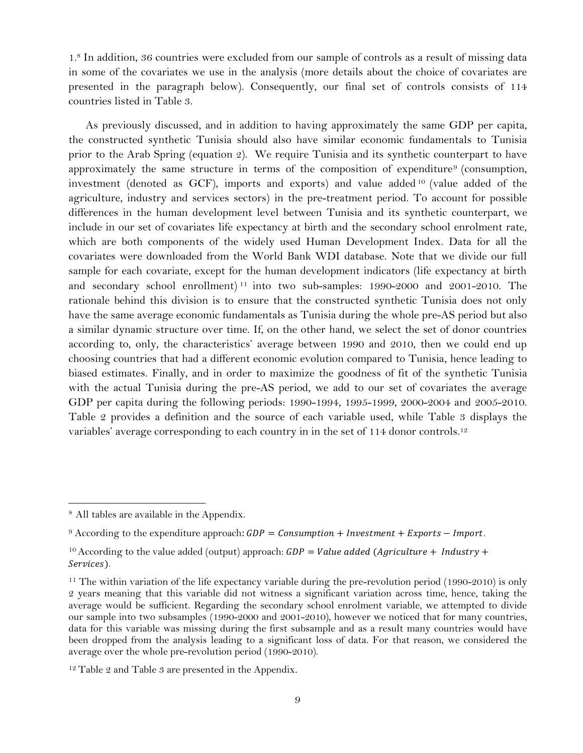[1.](#page-20-0) <sup>8</sup> In addition, 36 countries were excluded from our sample of controls as a result of missing data in some of the covariates we use in the analysis (more details about the choice of covariates are presented in the paragraph below). Consequently, our final set of controls consists of 114 countries listed in [Table 3.](#page-22-0)

As previously discussed, and in addition to having approximately the same GDP per capita, the constructed synthetic Tunisia should also have similar economic fundamentals to Tunisia prior to the Arab Spring (equation [2](#page-6-1)). We require Tunisia and its synthetic counterpart to have approximately the same structure in terms of the composition of expenditure<sup>9</sup> (consumption, investment (denoted as GCF), imports and exports) and value added <sup>10</sup> (value added of the agriculture, industry and services sectors) in the pre-treatment period. To account for possible differences in the human development level between Tunisia and its synthetic counterpart, we include in our set of covariates life expectancy at birth and the secondary school enrolment rate, which are both components of the widely used Human Development Index. Data for all the covariates were downloaded from the World Bank WDI database. Note that we divide our full sample for each covariate, except for the human development indicators (life expectancy at birth and secondary school enrollment) <sup>11</sup> into two sub-samples: 1990-2000 and 2001-2010. The rationale behind this division is to ensure that the constructed synthetic Tunisia does not only have the same average economic fundamentals as Tunisia during the whole pre-AS period but also a similar dynamic structure over time. If, on the other hand, we select the set of donor countries according to, only, the characteristics' average between 1990 and 2010, then we could end up choosing countries that had a different economic evolution compared to Tunisia, hence leading to biased estimates. Finally, and in order to maximize the goodness of fit of the synthetic Tunisia with the actual Tunisia during the pre-AS period, we add to our set of covariates the average GDP per capita during the following periods: 1990-1994, 1995-1999, 2000-2004 and 2005-2010. [Table 2](#page-21-0) provides a definition and the source of each variable used, while [Table 3](#page-22-0) displays the variables' average corresponding to each country in in the set of 114 donor controls.<sup>12</sup>

 $\overline{a}$ 

<sup>8</sup> All tables are available in the Appendix.

<sup>&</sup>lt;sup>9</sup> According to the expenditure approach:  $GDP = \text{Construction} + \text{ Investment} + \text{ Exports} - \text{Import.}$ 

<sup>&</sup>lt;sup>10</sup> According to the value added (output) approach:  $GDP = Value$  added (Agriculture + Industry + Services).

<sup>&</sup>lt;sup>11</sup> The within variation of the life expectancy variable during the pre-revolution period (1990-2010) is only 2 years meaning that this variable did not witness a significant variation across time, hence, taking the average would be sufficient. Regarding the secondary school enrolment variable, we attempted to divide our sample into two subsamples (1990-2000 and 2001-2010), however we noticed that for many countries, data for this variable was missing during the first subsample and as a result many countries would have been dropped from the analysis leading to a significant loss of data. For that reason, we considered the average over the whole pre-revolution period (1990-2010).

 $12$  [Table 2](#page-21-0) and [Table 3](#page-22-0) are presented in the [Appendix.](#page-20-1)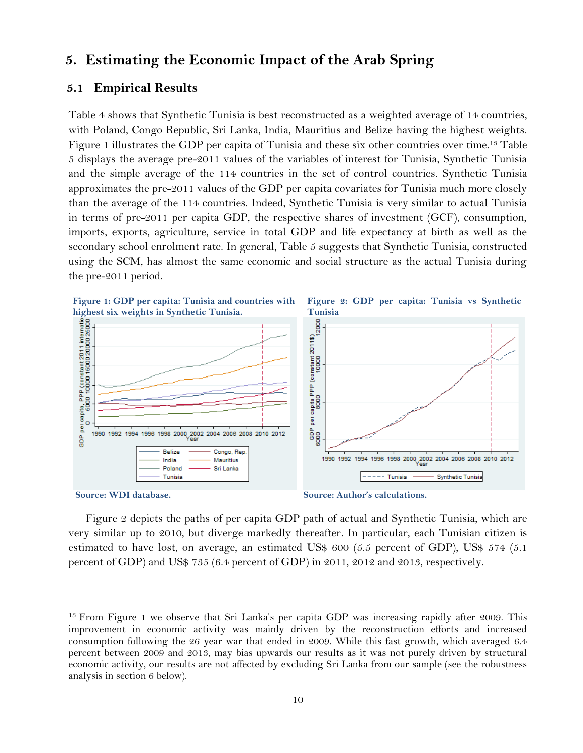## **5. Estimating the Economic Impact of the Arab Spring**

#### **5.1 Empirical Results**

[Table 4](#page-24-0) shows that Synthetic Tunisia is best reconstructed as a weighted average of 14 countries, with Poland, Congo Republic, Sri Lanka, India, Mauritius and Belize having the highest weights. Figure 1 illustrates the GDP per capita of Tunisia and these six other countries over time.<sup>13</sup> [Table](#page-24-1)  [5](#page-24-1) displays the average pre-2011 values of the variables of interest for Tunisia, Synthetic Tunisia and the simple average of the 114 countries in the set of control countries. Synthetic Tunisia approximates the pre-2011 values of the GDP per capita covariates for Tunisia much more closely than the average of the 114 countries. Indeed, Synthetic Tunisia is very similar to actual Tunisia in terms of pre-2011 per capita GDP, the respective shares of investment (GCF), consumption, imports, exports, agriculture, service in total GDP and life expectancy at birth as well as the secondary school enrolment rate. In general, [Table 5](#page-24-1) suggests that Synthetic Tunisia, constructed using the SCM, has almost the same economic and social structure as the actual Tunisia during the pre-2011 period.





l

**Source: Author's calculations.**

Figure 2 depicts the paths of per capita GDP path of actual and Synthetic Tunisia, which are very similar up to 2010, but diverge markedly thereafter. In particular, each Tunisian citizen is estimated to have lost, on average, an estimated US\$ 600 (5.5 percent of GDP), US\$ 574 (5.1 percent of GDP) and US\$ 735 (6.4 percent of GDP) in 2011, 2012 and 2013, respectively.

<sup>&</sup>lt;sup>13</sup> From Figure 1 we observe that Sri Lanka's per capita GDP was increasing rapidly after 2009. This improvement in economic activity was mainly driven by the reconstruction efforts and increased consumption following the 26 year war that ended in 2009. While this fast growth, which averaged 6.4 percent between 2009 and 2013, may bias upwards our results as it was not purely driven by structural economic activity, our results are not affected by excluding Sri Lanka from our sample (see the robustness analysis in section [6](#page-11-0) below).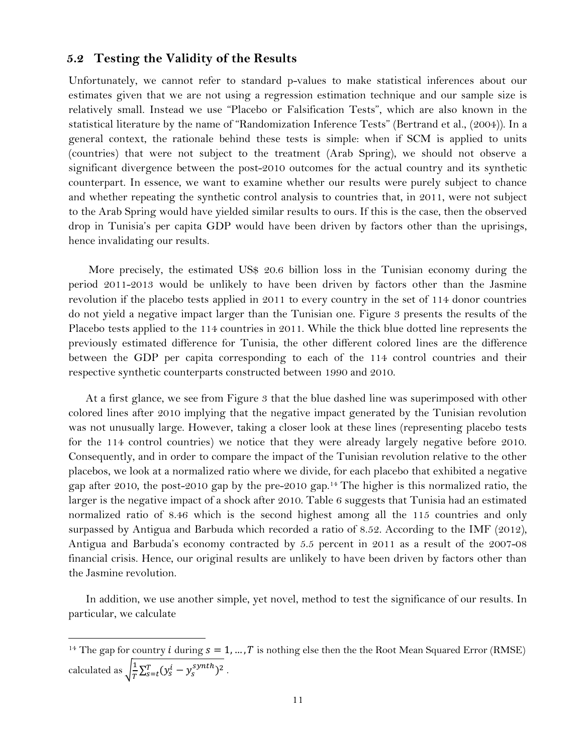#### **5.2 Testing the Validity of the Results**

 $\overline{a}$ 

Unfortunately, we cannot refer to standard p-values to make statistical inferences about our estimates given that we are not using a regression estimation technique and our sample size is relatively small. Instead we use "Placebo or Falsification Tests", which are also known in the statistical literature by the name of "Randomization Inference Tests" (Bertrand et al., (2004)). In a general context, the rationale behind these tests is simple: when if SCM is applied to units (countries) that were not subject to the treatment (Arab Spring), we should not observe a significant divergence between the post-2010 outcomes for the actual country and its synthetic counterpart. In essence, we want to examine whether our results were purely subject to chance and whether repeating the synthetic control analysis to countries that, in 2011, were not subject to the Arab Spring would have yielded similar results to ours. If this is the case, then the observed drop in Tunisia's per capita GDP would have been driven by factors other than the uprisings, hence invalidating our results.

More precisely, the estimated US\$ 20.6 billion loss in the Tunisian economy during the period 2011-2013 would be unlikely to have been driven by factors other than the Jasmine revolution if the placebo tests applied in 2011 to every country in the set of 114 donor countries do not yield a negative impact larger than the Tunisian one. [Figure 3](#page-11-1) presents the results of the Placebo tests applied to the 114 countries in 2011. While the thick blue dotted line represents the previously estimated difference for Tunisia, the other different colored lines are the difference between the GDP per capita corresponding to each of the 114 control countries and their respective synthetic counterparts constructed between 1990 and 2010.

At a first glance, we see from [Figure 3](#page-11-1) that the blue dashed line was superimposed with other colored lines after 2010 implying that the negative impact generated by the Tunisian revolution was not unusually large. However, taking a closer look at these lines (representing placebo tests for the 114 control countries) we notice that they were already largely negative before 2010. Consequently, and in order to compare the impact of the Tunisian revolution relative to the other placebos, we look at a normalized ratio where we divide, for each placebo that exhibited a negative gap after 2010, the post-2010 gap by the pre-2010 gap.<sup>14</sup> The higher is this normalized ratio, the larger is the negative impact of a shock after 2010. [Table 6](#page-25-0) suggests that Tunisia had an estimated normalized ratio of 8.46 which is the second highest among all the 115 countries and only surpassed by Antigua and Barbuda which recorded a ratio of 8.52. According to the IMF (2012), Antigua and Barbuda's economy contracted by 5.5 percent in 2011 as a result of the 2007-08 financial crisis. Hence, our original results are unlikely to have been driven by factors other than the Jasmine revolution.

In addition, we use another simple, yet novel, method to test the significance of our results. In particular, we calculate

<sup>&</sup>lt;sup>14</sup> The gap for country *i* during  $s = 1, ..., T$  is nothing else then the the Root Mean Squared Error (RMSE) calculated as  $\frac{1}{\sqrt{\pi}}$  $\frac{1}{T}\sum_{s=t}^{T}(y_s^i-y_s^{synth})^2$ .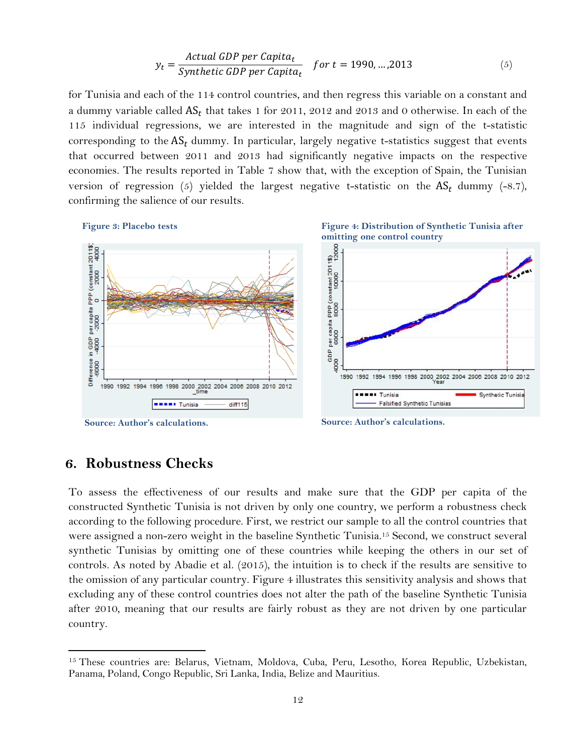$$
y_t = \frac{Actual GDP per Capita_t}{Synthetic GDP per Capita_t} \quad for \ t = 1990, \dots, 2013 \tag{5}
$$

for Tunisia and each of the 114 control countries, and then regress this variable on a constant and a dummy variable called  $\mathsf{AS}_t$  that takes 1 for 2011, 2012 and 2013 and 0 otherwise. In each of the 115 individual regressions, we are interested in the magnitude and sign of the t-statistic corresponding to the  $AS_t$  dummy. In particular, largely negative t-statistics suggest that events that occurred between 2011 and 2013 had significantly negative impacts on the respective economies. The results reported in [Table 7](#page-26-0) show that, with the exception of Spain, the Tunisian version of regression ([5](#page-11-2)) yielded the largest negative t-statistic on the  $AS_t$  dummy (-8.7), confirming the salience of our results.

<span id="page-11-1"></span>**Figure 3: Placebo tests**



<span id="page-11-0"></span>**Source: Author's calculations.**

**Source: Author's calculations.**

<span id="page-11-3"></span><span id="page-11-2"></span>**Figure 4: Distribution of Synthetic Tunisia after**

### **6. Robustness Checks**

 $\overline{a}$ 

To assess the effectiveness of our results and make sure that the GDP per capita of the constructed Synthetic Tunisia is not driven by only one country, we perform a robustness check according to the following procedure. First, we restrict our sample to all the control countries that were assigned a non-zero weight in the baseline Synthetic Tunisia.<sup>15</sup> Second, we construct several synthetic Tunisias by omitting one of these countries while keeping the others in our set of controls. As noted by Abadie et al. (2015), the intuition is to check if the results are sensitive to the omission of any particular country. [Figure 4](#page-11-3) illustrates this sensitivity analysis and shows that excluding any of these control countries does not alter the path of the baseline Synthetic Tunisia after 2010, meaning that our results are fairly robust as they are not driven by one particular country.

<sup>&</sup>lt;sup>15</sup> These countries are: Belarus, Vietnam, Moldova, Cuba, Peru, Lesotho, Korea Republic, Uzbekistan, Panama, Poland, Congo Republic, Sri Lanka, India, Belize and Mauritius.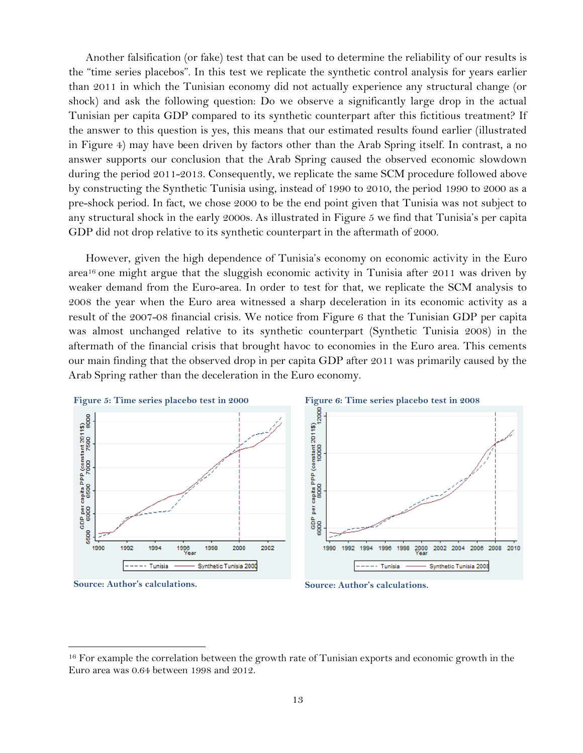Another falsification (or fake) test that can be used to determine the reliability of our results is the "time series placebos". In this test we replicate the synthetic control analysis for years earlier than 2011 in which the Tunisian economy did not actually experience any structural change (or shock) and ask the following question: Do we observe a significantly large drop in the actual Tunisian per capita GDP compared to its synthetic counterpart after this fictitious treatment? If the answer to this question is yes, this means that our estimated results found earlier (illustrated in Figure 4) may have been driven by factors other than the Arab Spring itself. In contrast, a no answer supports our conclusion that the Arab Spring caused the observed economic slowdown during the period 2011-2013. Consequently, we replicate the same SCM procedure followed above by constructing the Synthetic Tunisia using, instead of 1990 to 2010, the period 1990 to 2000 as a pre-shock period. In fact, we chose 2000 to be the end point given that Tunisia was not subject to any structural shock in the early 2000s. As illustrated in [Figure 5](#page-12-0) we find that Tunisia's per capita GDP did not drop relative to its synthetic counterpart in the aftermath of 2000.

However, given the high dependence of Tunisia's economy on economic activity in the Euro area<sup>16</sup> one might argue that the sluggish economic activity in Tunisia after 2011 was driven by weaker demand from the Euro-area. In order to test for that, we replicate the SCM analysis to 2008 the year when the Euro area witnessed a sharp deceleration in its economic activity as a result of the 2007-08 financial crisis. We notice from [Figure 6](#page-12-1) that the Tunisian GDP per capita was almost unchanged relative to its synthetic counterpart (Synthetic Tunisia 2008) in the aftermath of the financial crisis that brought havoc to economies in the Euro area. This cements our main finding that the observed drop in per capita GDP after 2011 was primarily caused by the Arab Spring rather than the deceleration in the Euro economy.

<span id="page-12-0"></span>

**Source: Author's calculations.**

l

<span id="page-12-1"></span>**Source: Author's calculations.**

<sup>&</sup>lt;sup>16</sup> For example the correlation between the growth rate of Tunisian exports and economic growth in the Euro area was 0.64 between 1998 and 2012.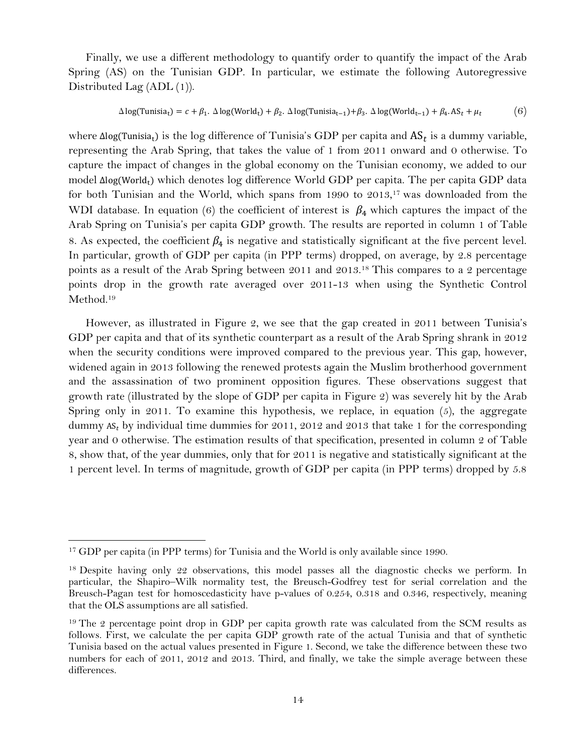Finally, we use a different methodology to quantify order to quantify the impact of the Arab Spring (AS) on the Tunisian GDP. In particular, we estimate the following Autoregressive Distributed Lag (ADL (1)).

<span id="page-13-0"></span>
$$
\Delta \log(\text{Tunisia}_{t}) = c + \beta_1. \ \Delta \log(\text{World}_{t}) + \beta_2. \ \Delta \log(\text{Tunisia}_{t-1}) + \beta_3. \ \Delta \log(\text{World}_{t-1}) + \beta_4. \ \text{AS}_{t} + \mu_t
$$
 (6)

where  $\Delta$ log(Tunisia<sub>t</sub>) is the log difference of Tunisia's GDP per capita and  $AS_t$  is a dummy variable, representing the Arab Spring, that takes the value of 1 from 2011 onward and 0 otherwise. To capture the impact of changes in the global economy on the Tunisian economy, we added to our model  $\Delta log(World<sub>t</sub>)$  which denotes log difference World GDP per capita. The per capita GDP data for both Tunisian and the World, which spans from 1990 to 2013,<sup>17</sup> was downloaded from the WDI database. In equation [\(6\)](#page-13-0) the coefficient of interest is  $\beta_4$  which captures the impact of the Arab Spring on Tunisia's per capita GDP growth. The results are reported in column 1 of [Table](#page-27-0)  [8.](#page-27-0) As expected, the coefficient  $\beta_4$  is negative and statistically significant at the five percent level. In particular, growth of GDP per capita (in PPP terms) dropped, on average, by 2.8 percentage points as a result of the Arab Spring between 2011 and 2013.<sup>18</sup> This compares to a 2 percentage points drop in the growth rate averaged over 2011-13 when using the Synthetic Control Method.<sup>19</sup>

However, as illustrated in Figure 2, we see that the gap created in 2011 between Tunisia's GDP per capita and that of its synthetic counterpart as a result of the Arab Spring shrank in 2012 when the security conditions were improved compared to the previous year. This gap, however, widened again in 2013 following the renewed protests again the Muslim brotherhood government and the assassination of two prominent opposition figures. These observations suggest that growth rate (illustrated by the slope of GDP per capita in Figure 2) was severely hit by the Arab Spring only in 2011. To examine this hypothesis, we replace, in equation  $(5)$  $(5)$  $(5)$ , the aggregate dummy AS, by individual time dummies for 2011, 2012 and 2013 that take 1 for the corresponding year and 0 otherwise. The estimation results of that specification, presented in column 2 of [Table](#page-27-0)  [8,](#page-27-0) show that, of the year dummies, only that for 2011 is negative and statistically significant at the 1 percent level. In terms of magnitude, growth of GDP per capita (in PPP terms) dropped by 5.8

l

<sup>&</sup>lt;sup>17</sup> GDP per capita (in PPP terms) for Tunisia and the World is only available since 1990.

<sup>&</sup>lt;sup>18</sup> Despite having only 22 observations, this model passes all the diagnostic checks we perform. In particular, the Shapiro–Wilk normality test, the Breusch-Godfrey test for serial correlation and the Breusch-Pagan test for homoscedasticity have p-values of 0.254, 0.318 and 0.346, respectively, meaning that the OLS assumptions are all satisfied.

<sup>&</sup>lt;sup>19</sup> The 2 percentage point drop in GDP per capita growth rate was calculated from the SCM results as follows. First, we calculate the per capita GDP growth rate of the actual Tunisia and that of synthetic Tunisia based on the actual values presented in Figure 1. Second, we take the difference between these two numbers for each of 2011, 2012 and 2013. Third, and finally, we take the simple average between these differences.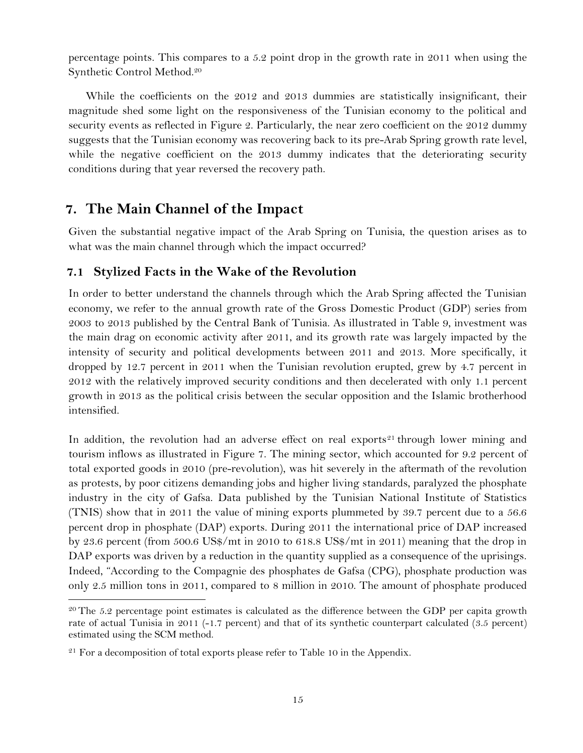percentage points. This compares to a 5.2 point drop in the growth rate in 2011 when using the Synthetic Control Method.<sup>20</sup>

While the coefficients on the 2012 and 2013 dummies are statistically insignificant, their magnitude shed some light on the responsiveness of the Tunisian economy to the political and security events as reflected in Figure 2. Particularly, the near zero coefficient on the 2012 dummy suggests that the Tunisian economy was recovering back to its pre-Arab Spring growth rate level, while the negative coefficient on the 2013 dummy indicates that the deteriorating security conditions during that year reversed the recovery path.

## **7. The Main Channel of the Impact**

Given the substantial negative impact of the Arab Spring on Tunisia, the question arises as to what was the main channel through which the impact occurred?

### **7.1 Stylized Facts in the Wake of the Revolution**

In order to better understand the channels through which the Arab Spring affected the Tunisian economy, we refer to the annual growth rate of the Gross Domestic Product (GDP) series from 2003 to 2013 published by the Central Bank of Tunisia. As illustrated in [Table 9,](#page-28-0) investment was the main drag on economic activity after 2011, and its growth rate was largely impacted by the intensity of security and political developments between 2011 and 2013. More specifically, it dropped by 12.7 percent in 2011 when the Tunisian revolution erupted, grew by 4.7 percent in 2012 with the relatively improved security conditions and then decelerated with only 1.1 percent growth in 2013 as the political crisis between the secular opposition and the Islamic brotherhood intensified.

In addition, the revolution had an adverse effect on real exports<sup>21</sup> through lower mining and tourism inflows as illustrated in [Figure 7.](#page-16-0) The mining sector, which accounted for 9.2 percent of total exported goods in 2010 (pre-revolution), was hit severely in the aftermath of the revolution as protests, by poor citizens demanding jobs and higher living standards, paralyzed the phosphate industry in the city of Gafsa. Data published by the Tunisian National Institute of Statistics (TNIS) show that in 2011 the value of mining exports plummeted by 39.7 percent due to a 56.6 percent drop in phosphate (DAP) exports. During 2011 the international price of DAP increased by 23.6 percent (from 500.6 US\$/mt in 2010 to 618.8 US\$/mt in 2011) meaning that the drop in DAP exports was driven by a reduction in the quantity supplied as a consequence of the uprisings. Indeed, "According to the Compagnie des phosphates de Gafsa (CPG), phosphate production was only 2.5 million tons in 2011, compared to 8 million in 2010. The amount of phosphate produced

 $\overline{a}$ 

 $20$  The 5.2 percentage point estimates is calculated as the difference between the GDP per capita growth rate of actual Tunisia in 2011 (-1.7 percent) and that of its synthetic counterpart calculated (3.5 percent) estimated using the SCM method.

 $21$  For a decomposition of total exports please refer to [Table 10](#page-28-1) in the [Appendix.](#page-20-1)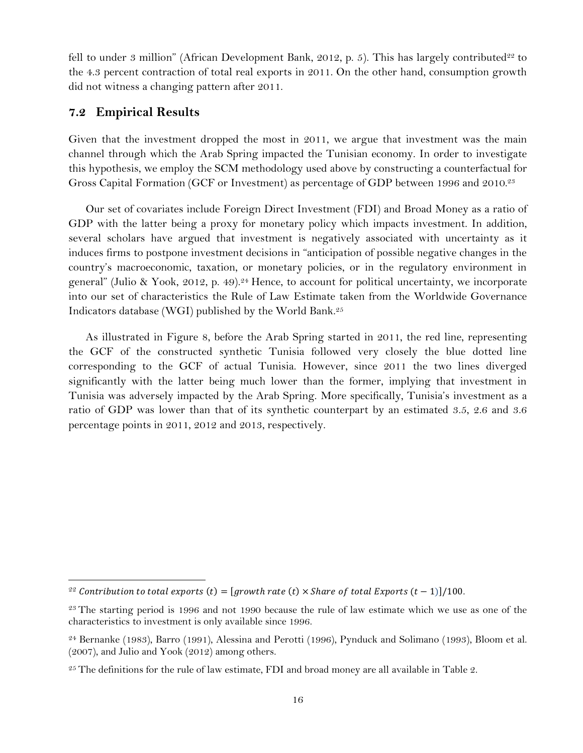fell to under 3 million" (African Development Bank, 2012, p. 5). This has largely contributed<sup>22</sup> to the 4.3 percent contraction of total real exports in 2011. On the other hand, consumption growth did not witness a changing pattern after 2011.

#### **7.2 Empirical Results**

l

Given that the investment dropped the most in 2011, we argue that investment was the main channel through which the Arab Spring impacted the Tunisian economy. In order to investigate this hypothesis, we employ the SCM methodology used above by constructing a counterfactual for Gross Capital Formation (GCF or Investment) as percentage of GDP between 1996 and 2010. 23

Our set of covariates include Foreign Direct Investment (FDI) and Broad Money as a ratio of GDP with the latter being a proxy for monetary policy which impacts investment. In addition, several scholars have argued that investment is negatively associated with uncertainty as it induces firms to postpone investment decisions in "anticipation of possible negative changes in the country's macroeconomic, taxation, or monetary policies, or in the regulatory environment in general" (Julio & Yook, 2012, p. 49). <sup>24</sup> Hence, to account for political uncertainty, we incorporate into our set of characteristics the Rule of Law Estimate taken from the Worldwide Governance Indicators database (WGI) published by the World Bank.<sup>25</sup>

As illustrated in [Figure 8,](#page-16-1) before the Arab Spring started in 2011, the red line, representing the GCF of the constructed synthetic Tunisia followed very closely the blue dotted line corresponding to the GCF of actual Tunisia. However, since 2011 the two lines diverged significantly with the latter being much lower than the former, implying that investment in Tunisia was adversely impacted by the Arab Spring. More specifically, Tunisia's investment as a ratio of GDP was lower than that of its synthetic counterpart by an estimated 3.5, 2.6 and 3.6 percentage points in 2011, 2012 and 2013, respectively.

<sup>&</sup>lt;sup>22</sup> Contribution to total exports (t) = [growth rate (t)  $\times$  Share of total Exports (t - 1)]/100.

<sup>&</sup>lt;sup>23</sup> The starting period is 1996 and not 1990 because the rule of law estimate which we use as one of the characteristics to investment is only available since 1996.

<sup>24</sup> Bernanke (1983), Barro (1991), Alessina and Perotti (1996), Pynduck and Solimano (1993), Bloom et al. (2007), and Julio and Yook (2012) among others.

 $25$  The definitions for the rule of law estimate, FDI and broad money are all available i[n Table 2.](#page-21-0)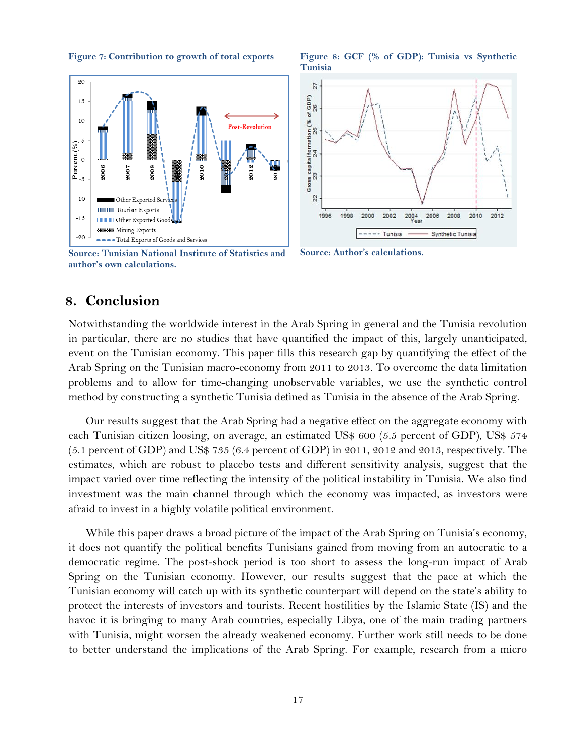20  $15\,$ 10 **Post-Revolution**  $\overline{5}$ Percent (%)  $\circ$ 2007 2010 2006 2008 2012  $-5$  $-10$ Other Exported Ser **Tourism Exports**  $-15$ **ININIANIA** Other Exported Goo Mining Exports  $-20$ - Total Exports of Goods and Services

<span id="page-16-0"></span>**Figure 7: Contribution to growth of total exports**

**Source: Tunisian National Institute of Statistics and author's own calculations.**

#### <span id="page-16-1"></span>**Figure 8: GCF (% of GDP): Tunisia vs Synthetic Tunisia**



**Source: Author's calculations.** 

## **8. Conclusion**

Notwithstanding the worldwide interest in the Arab Spring in general and the Tunisia revolution in particular, there are no studies that have quantified the impact of this, largely unanticipated, event on the Tunisian economy. This paper fills this research gap by quantifying the effect of the Arab Spring on the Tunisian macro-economy from 2011 to 2013. To overcome the data limitation problems and to allow for time-changing unobservable variables, we use the synthetic control method by constructing a synthetic Tunisia defined as Tunisia in the absence of the Arab Spring.

Our results suggest that the Arab Spring had a negative effect on the aggregate economy with each Tunisian citizen loosing, on average, an estimated US\$ 600 (5.5 percent of GDP), US\$ 574  $(5.1$  percent of GDP) and US\$ 735  $(6.4$  percent of GDP) in 2011, 2012 and 2013, respectively. The estimates, which are robust to placebo tests and different sensitivity analysis, suggest that the impact varied over time reflecting the intensity of the political instability in Tunisia. We also find investment was the main channel through which the economy was impacted, as investors were afraid to invest in a highly volatile political environment.

While this paper draws a broad picture of the impact of the Arab Spring on Tunisia's economy, it does not quantify the political benefits Tunisians gained from moving from an autocratic to a democratic regime. The post-shock period is too short to assess the long-run impact of Arab Spring on the Tunisian economy. However, our results suggest that the pace at which the Tunisian economy will catch up with its synthetic counterpart will depend on the state's ability to protect the interests of investors and tourists. Recent hostilities by the Islamic State (IS) and the havoc it is bringing to many Arab countries, especially Libya, one of the main trading partners with Tunisia, might worsen the already weakened economy. Further work still needs to be done to better understand the implications of the Arab Spring. For example, research from a micro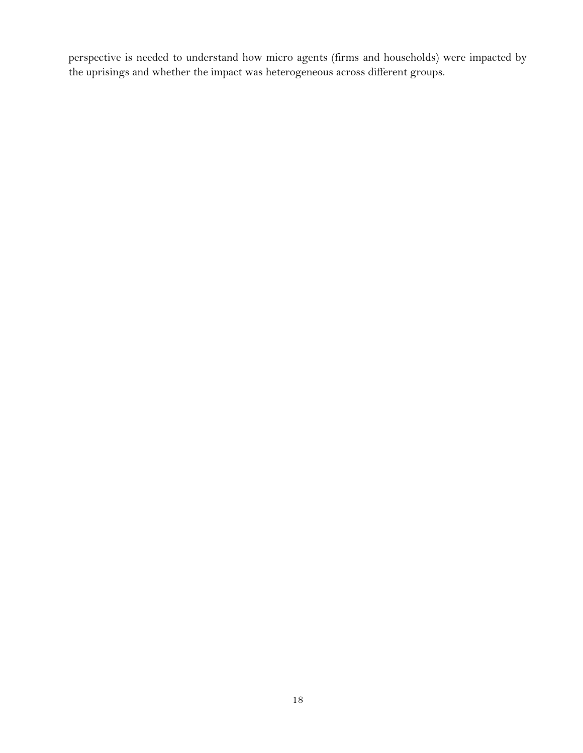perspective is needed to understand how micro agents (firms and households) were impacted by the uprisings and whether the impact was heterogeneous across different groups.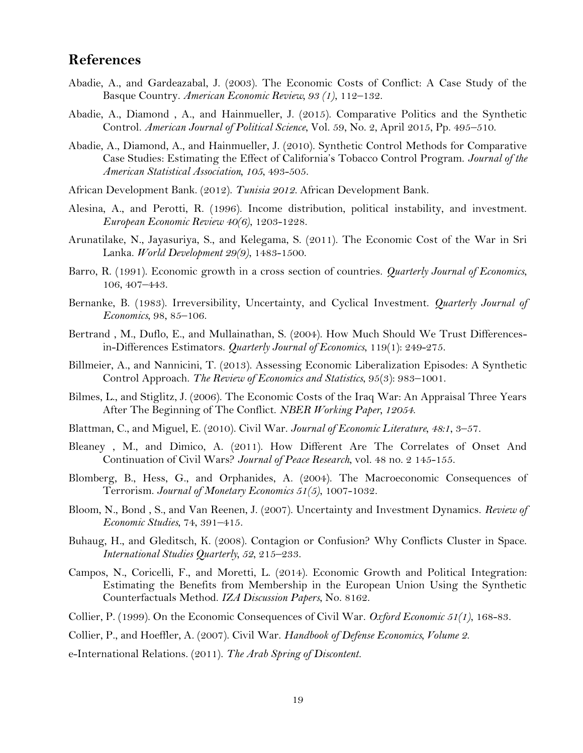## **References**

- Abadie, A., and Gardeazabal, J. (2003). The Economic Costs of Conflict: A Case Study of the Basque Country. *American Economic Review, 93 (1)*, 112–132.
- Abadie, A., Diamond , A., and Hainmueller, J. (2015). Comparative Politics and the Synthetic Control. *American Journal of Political Science*, Vol. 59, No. 2, April 2015, Pp. 495–510.
- Abadie, A., Diamond, A., and Hainmueller, J. (2010). Synthetic Control Methods for Comparative Case Studies: Estimating the Effect of California's Tobacco Control Program. *Journal of the American Statistical Association, 105*, 493-505.
- African Development Bank. (2012). *Tunisia 2012.* African Development Bank.
- Alesina, A., and Perotti, R. (1996). Income distribution, political instability, and investment. *European Economic Review 40(6)*, 1203-1228.
- Arunatilake, N., Jayasuriya, S., and Kelegama, S. (2011). The Economic Cost of the War in Sri Lanka. *World Development 29(9)*, 1483-1500.
- Barro, R. (1991). Economic growth in a cross section of countries. *Quarterly Journal of Economics*, 106, 407–443.
- Bernanke, B. (1983). Irreversibility, Uncertainty, and Cyclical Investment. *Quarterly Journal of Economics*, 98, 85–106.
- Bertrand , M., Duflo, E., and Mullainathan, S. (2004). How Much Should We Trust Differencesin-Differences Estimators. *Quarterly Journal of Economics*, 119(1): 249-275.
- Billmeier, A., and Nannicini, T. (2013). Assessing Economic Liberalization Episodes: A Synthetic Control Approach. *The Review of Economics and Statistics*, 95(3): 983–1001.
- Bilmes, L., and Stiglitz, J. (2006). The Economic Costs of the Iraq War: An Appraisal Three Years After The Beginning of The Conflict. *NBER Working Paper, 12054*.
- Blattman, C., and Miguel, E. (2010). Civil War. *Journal of Economic Literature, 48:1*, 3–57.
- Bleaney , M., and Dimico, A. (2011). How Different Are The Correlates of Onset And Continuation of Civil Wars? *Journal of Peace Research*, vol. 48 no. 2 145-155.
- Blomberg, B., Hess, G., and Orphanides, A. (2004). The Macroeconomic Consequences of Terrorism. *Journal of Monetary Economics 51(5)*, 1007-1032.
- Bloom, N., Bond , S., and Van Reenen, J. (2007). Uncertainty and Investment Dynamics. *Review of Economic Studies*, 74, 391–415.
- Buhaug, H., and Gleditsch, K. (2008). Contagion or Confusion? Why Conflicts Cluster in Space. *International Studies Quarterly, 52*, 215–233.
- Campos, N., Coricelli, F., and Moretti, L. (2014). Economic Growth and Political Integration: Estimating the Benefits from Membership in the European Union Using the Synthetic Counterfactuals Method. *IZA Discussion Papers*, No. 8162.
- Collier, P. (1999). On the Economic Consequences of Civil War. *Oxford Economic 51(1)*, 168-83.

Collier, P., and Hoeffler, A. (2007). Civil War. *Handbook of Defense Economics, Volume 2*.

e-International Relations. (2011). *The Arab Spring of Discontent.*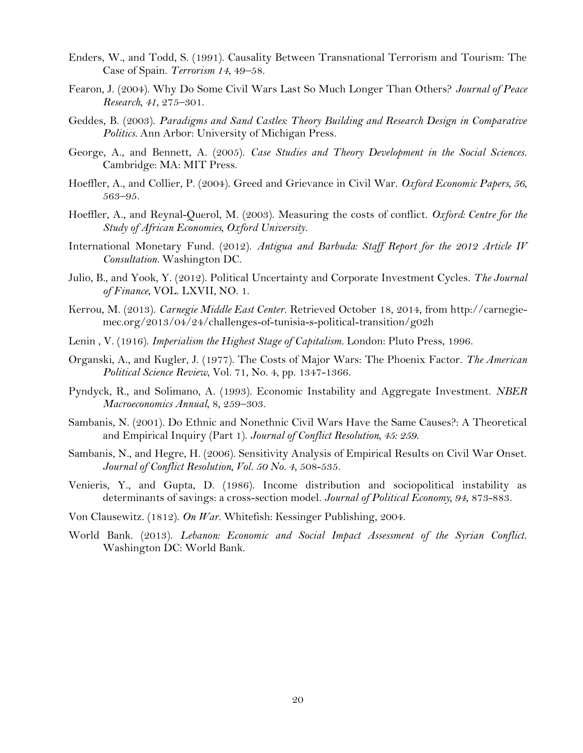- Enders, W., and Todd, S. (1991). Causality Between Transnational Terrorism and Tourism: The Case of Spain. *Terrorism 14*, 49–58.
- Fearon, J. (2004). Why Do Some Civil Wars Last So Much Longer Than Others? *Journal of Peace Research, 41*, 275–301.
- Geddes, B. (2003). *Paradigms and Sand Castles: Theory Building and Research Design in Comparative Politics.* Ann Arbor: University of Michigan Press.
- George, A., and Bennett, A. (2005). *Case Studies and Theory Development in the Social Sciences.* Cambridge: MA: MIT Press.
- Hoeffler, A., and Collier, P. (2004). Greed and Grievance in Civil War. *Oxford Economic Papers, 56*, 563–95.
- Hoeffler, A., and Reynal-Querol, M. (2003). Measuring the costs of conflict. *Oxford: Centre for the Study of African Economies, Oxford University.*
- International Monetary Fund. (2012). *Antigua and Barbuda: Staff Report for the 2012 Article IV Consultation.* Washington DC.
- Julio, B., and Yook, Y. (2012). Political Uncertainty and Corporate Investment Cycles. *The Journal of Finance*, VOL. LXVII, NO. 1.
- Kerrou, M. (2013). *Carnegie Middle East Center*. Retrieved October 18, 2014, from http://carnegiemec.org/2013/04/24/challenges-of-tunisia-s-political-transition/g02h
- Lenin , V. (1916). *Imperialism the Highest Stage of Capitalism.* London: Pluto Press, 1996.
- Organski, A., and Kugler, J. (1977). The Costs of Major Wars: The Phoenix Factor. *The American Political Science Review*, Vol. 71, No. 4, pp. 1347-1366.
- Pyndyck, R., and Solimano, A. (1993). Economic Instability and Aggregate Investment. *NBER Macroeconomics Annual*, 8, 259–303.
- Sambanis, N. (2001). Do Ethnic and Nonethnic Civil Wars Have the Same Causes?: A Theoretical and Empirical Inquiry (Part 1). *Journal of Conflict Resolution, 45: 259*.
- Sambanis, N., and Hegre, H. (2006). Sensitivity Analysis of Empirical Results on Civil War Onset. *Journal of Conflict Resolution, Vol. 50 No. 4*, 508-535.
- Venieris, Y., and Gupta, D. (1986). Income distribution and sociopolitical instability as determinants of savings: a cross-section model. *Journal of Political Economy, 94*, 873-883.
- Von Clausewitz. (1812). *On War.* Whitefish: Kessinger Publishing, 2004.
- World Bank. (2013). *Lebanon: Economic and Social Impact Assessment of the Syrian Conflict.* Washington DC: World Bank.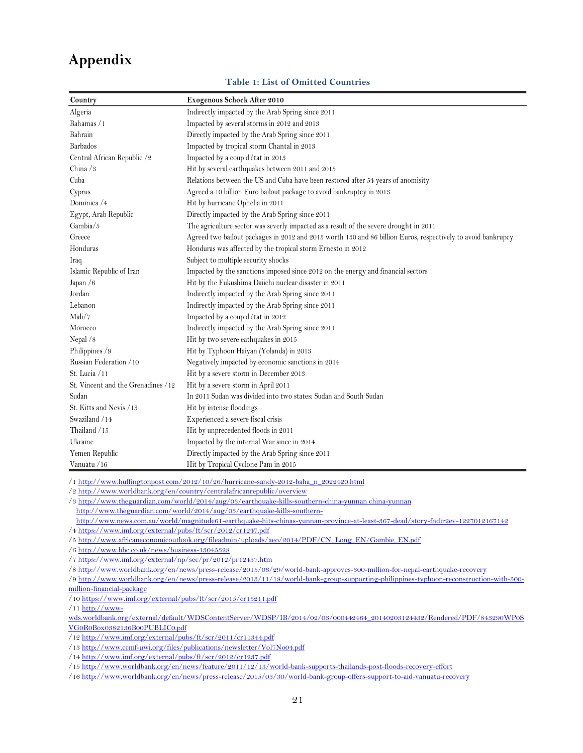## <span id="page-20-1"></span>**Appendix**

#### **Table 1: List of Omitted Countries**

<span id="page-20-0"></span>

| Country                            | Exogenous Schock After 2010                                                                                  |
|------------------------------------|--------------------------------------------------------------------------------------------------------------|
| Algeria                            | Indirectly impacted by the Arab Spring since 2011                                                            |
| Bahamas /1                         | Impacted by several storms in 2012 and 2013                                                                  |
| Bahrain                            | Directly impacted by the Arab Spring since 2011                                                              |
| <b>Barbados</b>                    | Impacted by tropical storm Chantal in 2013                                                                   |
| Central African Republic /2        | Impacted by a coup d'état in 2013                                                                            |
| China $/3$                         | Hit by several earthquakes between 2011 and 2015                                                             |
| Cuba                               | Relations between the US and Cuba have been restored after 54 years of anomisity                             |
| Cyprus                             | Agreed a 10 billion Euro bailout package to avoid bankruptcy in 2013                                         |
| Dominica /4                        | Hit by hurricane Ophelia in 2011                                                                             |
| Egypt, Arab Republic               | Directly impacted by the Arab Spring since 2011                                                              |
| Gambia/5                           | The agriculture sector was severly impacted as a result of the severe drought in 2011                        |
| Greece                             | Agreed two bailout packages in 2012 and 2015 worth 130 and 86 billion Euros, respectively to avoid bankrupcy |
| Honduras                           | Honduras was affected by the tropical storm Ernesto in 2012                                                  |
| Iraq                               | Subject to multiple security shocks                                                                          |
| Islamic Republic of Iran           | Impacted by the sanctions imposed since 2012 on the energy and financial sectors                             |
| Japan /6                           | Hit by the Fukushima Daiichi nuclear disaster in 2011                                                        |
| Jordan                             | Indirectly impacted by the Arab Spring since 2011                                                            |
| Lebanon                            | Indirectly impacted by the Arab Spring since 2011                                                            |
| Mali/7                             | Impacted by a coup d'état in 2012                                                                            |
| Morocco                            | Indirectly impacted by the Arab Spring since 2011                                                            |
| Nepal /8                           | Hit by two severe eathquakes in 2015                                                                         |
| Philippines /9                     | Hit by Typhoon Haiyan (Yolanda) in 2013                                                                      |
| Russian Federation /10             | Negatively impacted by economic sanctions in 2014                                                            |
| St. Lucia / 11                     | Hit by a severe storm in December 2013                                                                       |
| St. Vincent and the Grenadines /12 | Hit by a severe storm in April 2011                                                                          |
| Sudan                              | In 2011 Sudan was divided into two states: Sudan and South Sudan                                             |
| St. Kitts and Nevis / 13           | Hit by intense floodings                                                                                     |
| Swaziland / 14                     | Experienced a severe fiscal crisis                                                                           |
| Thailand /15                       | Hit by unprecedented floods in 2011                                                                          |
| Ukraine                            | Impacted by the internal War since in 2014                                                                   |
| Yemen Republic                     | Directly impacted by the Arab Spring since 2011                                                              |
| Vanuatu / 16                       | Hit by Tropical Cyclone Pam in 2015                                                                          |

/[1 http://www.huffingtonpost.com/2012/10/26/hurricane-sandy-2012-baha\\_n\\_2022420.html](http://www.huffingtonpost.com/2012/10/26/hurricane-sandy-2012-baha_n_2022420.html)

/[2 http://www.worldbank.org/en/country/centralafricanrepublic/overview](http://www.worldbank.org/en/country/centralafricanrepublic/overview)

/3 http://www.theguardian.com/world/2014/aug/03/earthquake-kills-southern-china-yunnan china-yunnan

<http://www.theguardian.com/world/2014/aug/03/earthquake-kills-southern->

 <http://www.news.com.au/world/magnitude61-earthquake-hits-chinas-yunnan-province-at-least-367-dead/story-fndir2ev-1227012167142> /[4 https://www.imf.org/external/pubs/ft/scr/2012/cr1247.pdf](https://www.imf.org/external/pubs/ft/scr/2012/cr1247.pdf)

/[5 http://www.africaneconomicoutlook.org/fileadmin/uploads/aeo/2014/PDF/CN\\_Long\\_EN/Gambie\\_EN.pdf](http://www.africaneconomicoutlook.org/fileadmin/uploads/aeo/2014/PDF/CN_Long_EN/Gambie_EN.pdf)

/[6 http://www.bbc.co.uk/news/business-13045328](http://www.bbc.co.uk/news/business-13045328)

/[7 https://www.imf.org/external/np/sec/pr/2012/pr12437.htm](https://www.imf.org/external/np/sec/pr/2012/pr12437.htm)

/[8 http://www.worldbank.org/en/news/press-release/2015/06/29/world-bank-approves-300-million-for-nepal-earthquake-recovery](http://www.worldbank.org/en/news/press-release/2015/06/29/world-bank-approves-300-million-for-nepal-earthquake-recovery)

/[9 http://www.worldbank.org/en/news/press-release/2013/11/18/world-bank-group-supporting-philippines-typhoon-reconstruction-with-500](http://www.worldbank.org/en/news/press-release/2013/11/18/world-bank-group-supporting-philippines-typhoon-reconstruction-with-500-million-financial-package) [million-financial-package](http://www.worldbank.org/en/news/press-release/2013/11/18/world-bank-group-supporting-philippines-typhoon-reconstruction-with-500-million-financial-package)

/1[0 https://www.imf.org/external/pubs/ft/scr/2015/cr15211.pdf](https://www.imf.org/external/pubs/ft/scr/2015/cr15211.pdf)

/1[1 http://www-](http://www-wds.worldbank.org/external/default/WDSContentServer/WDSP/IB/2014/02/03/000442464_20140203124432/Rendered/PDF/843290WP0SVG0R0Box0382136B00PUBLIC0.pdf)

[wds.worldbank.org/external/default/WDSContentServer/WDSP/IB/2014/02/03/000442464\\_20140203124432/Rendered/PDF/843290WP0S](http://www-wds.worldbank.org/external/default/WDSContentServer/WDSP/IB/2014/02/03/000442464_20140203124432/Rendered/PDF/843290WP0SVG0R0Box0382136B00PUBLIC0.pdf) [VG0R0Box0382136B00PUBLIC0.pdf](http://www-wds.worldbank.org/external/default/WDSContentServer/WDSP/IB/2014/02/03/000442464_20140203124432/Rendered/PDF/843290WP0SVG0R0Box0382136B00PUBLIC0.pdf)

/1[2 http://www.imf.org/external/pubs/ft/scr/2011/cr11344.pdf](http://www.imf.org/external/pubs/ft/scr/2011/cr11344.pdf)

/1[3 http://www.ccmf-uwi.org/files/publications/newsletter/Vol7No04.pdf](http://www.ccmf-uwi.org/files/publications/newsletter/Vol7No04.pdf)

/1[4 http://www.imf.org/external/pubs/ft/scr/2012/cr1237.pdf](http://www.imf.org/external/pubs/ft/scr/2012/cr1237.pdf)

/1[5 http://www.worldbank.org/en/news/feature/2011/12/13/world-bank-supports-thailands-post-floods-recovery-effort](http://www.worldbank.org/en/news/feature/2011/12/13/world-bank-supports-thailands-post-floods-recovery-effort)

/1[6 http://www.worldbank.org/en/news/press-release/2015/03/30/world-bank-group-offers-support-to-aid-vanuatu-recovery](http://www.worldbank.org/en/news/press-release/2015/03/30/world-bank-group-offers-support-to-aid-vanuatu-recovery)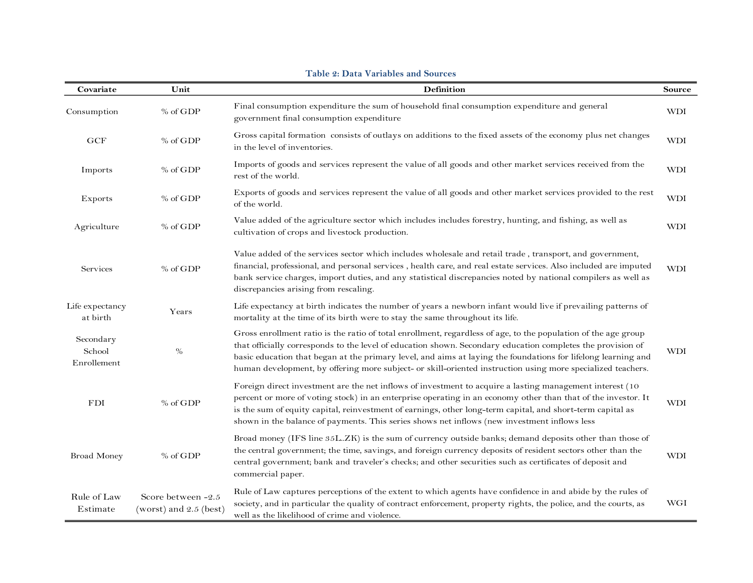<span id="page-21-0"></span>

| Covariate                          | Unit                                         | Definition                                                                                                                                                                                                                                                                                                                                                                                                                                                    |            |  |  |  |  |  |  |  |  |
|------------------------------------|----------------------------------------------|---------------------------------------------------------------------------------------------------------------------------------------------------------------------------------------------------------------------------------------------------------------------------------------------------------------------------------------------------------------------------------------------------------------------------------------------------------------|------------|--|--|--|--|--|--|--|--|
| Consumption                        | % of GDP                                     | Final consumption expenditure the sum of household final consumption expenditure and general<br>government final consumption expenditure                                                                                                                                                                                                                                                                                                                      | <b>WDI</b> |  |  |  |  |  |  |  |  |
| GCF                                | % of GDP                                     | Gross capital formation consists of outlays on additions to the fixed assets of the economy plus net changes<br>in the level of inventories.                                                                                                                                                                                                                                                                                                                  | <b>WDI</b> |  |  |  |  |  |  |  |  |
| Imports                            | % of GDP                                     | Imports of goods and services represent the value of all goods and other market services received from the<br>rest of the world.                                                                                                                                                                                                                                                                                                                              | <b>WDI</b> |  |  |  |  |  |  |  |  |
| Exports                            | % of GDP                                     | Exports of goods and services represent the value of all goods and other market services provided to the rest<br>of the world.                                                                                                                                                                                                                                                                                                                                | <b>WDI</b> |  |  |  |  |  |  |  |  |
| Agriculture                        | % of GDP                                     | Value added of the agriculture sector which includes includes forestry, hunting, and fishing, as well as<br>cultivation of crops and livestock production.                                                                                                                                                                                                                                                                                                    | <b>WDI</b> |  |  |  |  |  |  |  |  |
| Services                           | % of GDP                                     | Value added of the services sector which includes wholesale and retail trade, transport, and government,<br>financial, professional, and personal services, health care, and real estate services. Also included are imputed<br>bank service charges, import duties, and any statistical discrepancies noted by national compilers as well as<br>discrepancies arising from rescaling.                                                                        | <b>WDI</b> |  |  |  |  |  |  |  |  |
| Life expectancy<br>at birth        | Years                                        | Life expectancy at birth indicates the number of years a newborn infant would live if prevailing patterns of<br>mortality at the time of its birth were to stay the same throughout its life.                                                                                                                                                                                                                                                                 |            |  |  |  |  |  |  |  |  |
| Secondary<br>School<br>Enrollement | $\%$                                         | Gross enrollment ratio is the ratio of total enrollment, regardless of age, to the population of the age group<br>that officially corresponds to the level of education shown. Secondary education completes the provision of<br>basic education that began at the primary level, and aims at laying the foundations for lifelong learning and<br>human development, by offering more subject- or skill-oriented instruction using more specialized teachers. | <b>WDI</b> |  |  |  |  |  |  |  |  |
| <b>FDI</b>                         | % of GDP                                     | Foreign direct investment are the net inflows of investment to acquire a lasting management interest (10)<br>percent or more of voting stock) in an enterprise operating in an economy other than that of the investor. It<br>is the sum of equity capital, reinvestment of earnings, other long-term capital, and short-term capital as<br>shown in the balance of payments. This series shows net inflows (new investment inflows less                      | <b>WDI</b> |  |  |  |  |  |  |  |  |
| <b>Broad Money</b>                 | % of GDP                                     | Broad money (IFS line 35L.ZK) is the sum of currency outside banks; demand deposits other than those of<br>the central government; the time, savings, and foreign currency deposits of resident sectors other than the<br>central government; bank and traveler's checks; and other securities such as certificates of deposit and<br>commercial paper.                                                                                                       | <b>WDI</b> |  |  |  |  |  |  |  |  |
| Rule of Law<br>Estimate            | Score between -2.5<br>(worst) and 2.5 (best) | Rule of Law captures perceptions of the extent to which agents have confidence in and abide by the rules of<br>society, and in particular the quality of contract enforcement, property rights, the police, and the courts, as<br>well as the likelihood of crime and violence.                                                                                                                                                                               | WGI        |  |  |  |  |  |  |  |  |

#### **Table 2: Data Variables and Sources**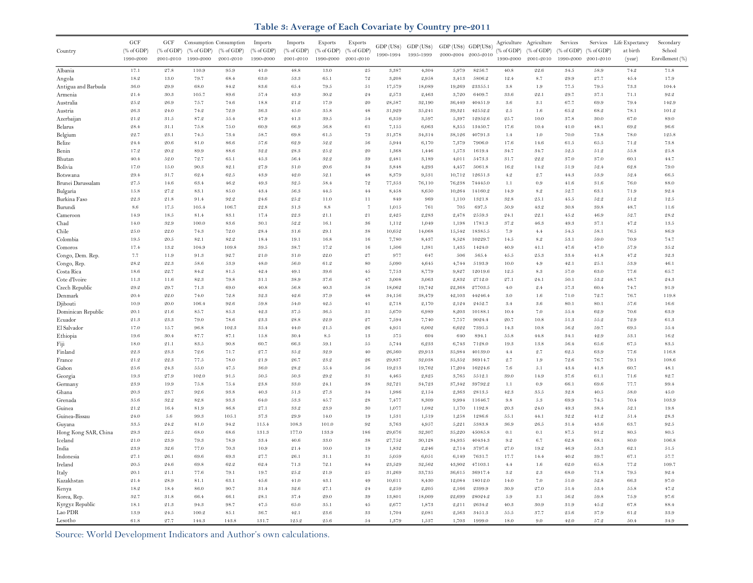#### **Table 3: Average of Each Covariate by Country pre-2011**

<span id="page-22-0"></span>

|                             | GCF                             | GCF                   |                       | Consumption Consumption | Imports               | Imports                         | Exports                                   | Exports                         |                  |                  |                      |                    |                       | Agriculture Agriculture | Services              | Services         | Life Expectancy | Secondary       |
|-----------------------------|---------------------------------|-----------------------|-----------------------|-------------------------|-----------------------|---------------------------------|-------------------------------------------|---------------------------------|------------------|------------------|----------------------|--------------------|-----------------------|-------------------------|-----------------------|------------------|-----------------|-----------------|
| Country                     | $(% \mathcal{L}_{0}$ (% of GDP) | $(\% \text{ of GDP})$ | $(\% \text{ of GDP})$ | % of GDP                | $(% ^{66}$ (% of GDP) | $(% \mathcal{L}_{0}$ (% of GDP) | $(% \mathcal{L}_{0}^{\infty})$ (% of GDP) | $(% \mathcal{L}_{0}$ (% of GDP) | GDP (US\$)       | GDP (US\$)       | GDP (US\$) GDP(US\$) |                    | $(\% \text{ of GDP})$ | % of GDP                | $(\% \text{ of GDP})$ | % of GDP         | at birth        | School          |
|                             | 1990-2000                       | 2001-2010             | 1990-2000             | 2001-2010               | 1990-2000             | 2001-2010                       | 1990-2000                                 | 2001-2010                       | 1990-1994        | 1995-1999        | 2000-2004 2005-2010  |                    | 1990-2000             | 2001-2010               | 1990-2000             | 2001-2010        | (year)          | Enrollement (%) |
| Albania                     | 17.1                            | 27.8                  | 110.9                 | 95.9                    | 41.0                  | $48.8\,$                        | $13.0\,$                                  | $\sqrt{2.5}$                    | 3,387            | 4,304            | 5,979                | 8256.7             | 40.8                  | $22.6\,$                | 34.5                  | $5\,8.9$         | $74.2\,$        | 71.8            |
| Angola                      | 18.2                            | 13.0                  | 79.7                  | 68.4                    | 63.0                  | $53.3\,$                        | 65.1                                      | $7\,2$                          | 3,208            | 2,958            | 3,413                | 5806.2             | 12.4                  | 8.7                     | 29.9                  | $\sqrt{27.7}$    | 45.4            | 17.9            |
| Antigua and Barbuda         | 36.0                            | 29.9                  | 68.0                  | 84.2                    | 83.6                  | 65.4                            | 79.5                                      | $5\,1$                          | 17,579           | 18,089           | 19,269               | 23355.1            | 3.8                   | 1.9                     | 77.5                  | $79.5\,$         | 73.3            | 104.4           |
| Armenia                     | 21.4                            | 30.3                  | 105.7                 | 89.6                    | 57.4                  | 43.9                            | 30.2                                      | 24                              | 2,573            | 2,463            | 3,720                | 6409.7             | 33.6                  | 22.1                    | 29.7                  | 37.1             | 71.1            | 92.2            |
| Australia                   | 25.9                            | 26.9                  | 75.7                  | 74.6                    | 18.8                  | 21.2                            | 17.9                                      | 20                              | 28,587           | 32,190           | 36,449               | 40451.9            | $3.6\,$               | 3.1                     | 67.7                  | 69.9             | 79.4            | 142.9           |
| Austria                     | 26.3                            | 24.0                  | 74.2                  | 72.9                    | 36.3                  | 45.0                            | 35.8                                      | $4\,8$                          | 31,929           | 35,241           | 39,321               | 42552.2            | $2.5\,$               | $1.6\,$                 | 65.2                  | 68.2             | 78.1            | 101.2           |
| Azerbaijan                  | 21.2                            | 31.5                  | 87.2                  | 55.4                    | 47.9                  | 41.3                            | 39.5                                      | 54                              | 6,359            | 3,597            | 5,397                | 12952.6            | 25.7                  | 10.0                    | 37.8                  | 30.0             | 67.0            | 89.0            |
| Belarus                     | 28.4                            | 31.1                  | 75.8                  | 75.0                    | 60.9                  | 66.9                            | 56.8                                      | 61                              | 7,155            | 6,063            | 8,355                | 13450.7            | 17.6                  | 10.4                    | 41.0                  | 48.1             | 69.2            | 96.6            |
| Belgium                     | 22.7                            | $2\sqrt{3}.1$         | $74.5\,$              | 73.4                    | 58.7                  | 69.8                            | $61.5\,$                                  | 73                              | 31,378           | 34,314           | 38,126               | 40791.3            | 1.4                   | 1.0                     | 70.0                  | 73.8             | 78.0            | 125.8           |
| Belize                      | 24.4                            | 20.6                  | 81.0                  | 86.6                    | 57.6                  | 62.9                            | $52.2\,$                                  | 56                              | 5,944            | 6,170            | 7,379                | 7906.0             | 17.6                  | 14.6                    | 61.5                  | 65.5             | 71.2            | 73.8            |
| Benin                       | 17.2                            | 20.2                  | 89.9                  | 88.6                    | 32.2                  | 28.3                            | 25.2                                      | 20                              | 1,368            | 1,446            | 1,573                | 1619.4             | 34.7                  | 34.7                    | 52.5                  | $5\,1.2$         | 55.8            | $2\,5.8$        |
| Bhutan                      | 40.4                            | 52.0                  | 72.7                  | 65.1                    | 45.3                  | 56.4                            | $32.2\,$                                  | $^{\rm 39}$                     | 2,481            | 3,189            | 4,011                | 5473.3             | 31.7                  | $\mathbf{22.2}$         | 37.0                  | 37.0             | 60.1            | 44.7            |
| Bolivia                     | 17.0                            | 15.0                  | 90.3                  | 82.1                    | 27.9                  | 31.0                            | $\hphantom{0}20.6$                        | 34                              | 3,848            | 4,293            | 4,457                | 5061.8             | 16.2                  | 14.2                    | 51.9                  | 52.4             | 62.8            | 79.0            |
| Botswana                    | 29.4                            | 31.7                  | 62.4                  | $62.5\,$                | 43.9                  | 42.0                            | 52.1                                      | $4\,8$                          | 8,379            | 9,531            | 10,712               | 12651.3            | 4.2                   | 2.7                     | 44.3                  | 53.9             | 52.4            | 66.5            |
| Brunei Darussalam           | 27.5                            | 14.6                  | 63.4                  | 46.2                    | 49.3                  | 32.5                            | 58.4                                      | $7\,2$                          | 77,353           | 76,110           | 76,238               | 74445.0            | 1.1                   | 0.9                     | 41.6                  | $3\,1.6$         | 76.0            | 88.0            |
| Bulgaria                    | 15.8                            | 27.2                  | 83.1                  | 85.0                    | 43.4                  | $56.3\,$                        | 44.5                                      | $44\,$                          | 8,458            | 8,650            | 10,264               | 14160.2            | 14.9                  | 8.2                     | 52.7                  | 63.1             | 71.9            | 92.4            |
| Burkina Faso                | 22.3                            | 21.8                  | 91.4                  | 92.2                    | 24.6                  | $2\,5.2$                        | 11.0                                      | 11                              | 849              | 969              | 1,110                | 1321.8             | $32.8\,$              | 2.5.1                   | 45.5                  | 52.2             | $5\,1.2$        | 12.5            |
| Burundi                     | $8.6\,$                         | 17.5                  | 105.4                 | 106.7                   | 22.8                  | 31.3                            | $8.8\,$                                   | $\overline{7}$                  | 1,015            | 761              | 705                  | 697.5              | 50.9                  | 43.2                    | 30.8                  | 39.8             | 48.7            | 11.6            |
| Cameroon                    | 14.9                            | 18.5                  | 81.4                  | 83.1                    | 17.4                  | 22.3                            | 21.1                                      | 21                              | 2,425            | 2,283            | 2,478                | 2559.3             | 24.1                  | 22.1                    | 45.2                  | 46.9             | 52.7            | 28.2            |
| Chad                        | 14.0                            | 32.9                  | 100.0                 | 83.6                    | 30.1                  | 52.2                            | 16.1                                      | $36\,$                          | 1,112            | 1,049            | 1.198                | 1781.3             | 37.2                  | 46.3                    | 49.3                  | 37.1             | 47.2            | 13.5            |
| Chile                       | 25.0                            | 22.0                  | 74.3                  | 72.0                    | 28.4                  | 31.6                            | 29.1                                      | $^{\rm 38}$                     | 10,652           | 14,068           | 15,542               | 18385.5            | 7.9                   | 4.4                     | 54.5                  | 58.1             | 76.5            | 86.9            |
| Colombia                    | 19.5                            | 20.5                  | 82.1                  | 82.2                    | 18.4                  | 19.1                            | 16.8                                      | 16                              | 7,780            | 8,437            | 8,528                | 10229.7            | 14.5                  | 8.2                     | 53.1                  | 59.0             | 70.9            | 74.7            |
| Comoros                     | 17.4                            | 13.2                  | 104.9                 | 109.8                   | 39.5                  | 38.7                            | 17.2                                      | 16                              | 1,506            | 1,381            | 1,435                | 1424.0             | 40.9                  | 41.1                    | 47.6                  | 47.0             | 57.9            | 35.2            |
| Congo, Dem. Rep.            | 7.7                             | 11.9                  | 91.3                  | 92.7                    | 21.0                  | 31.0                            | 22.0                                      | $\sqrt{27}$                     | 977              | 647              | 506                  | 565.4              | 45.5                  | 25.3                    | 33.4                  | $41.8\,$         | 47.2            | 32.3            |
| Congo, Rep.                 | $28.2\,$<br>18.6                | 22.3<br>22.7          | $58.6\,$<br>84.2      | 53.9<br>81.5            | 48.0<br>42.4          | 56.0<br>49.1                    | $61.2\,$<br>39.6                          | $_{\rm 80}$<br>45               | 5,090            | 4,645<br>8,779   | 4,744                | 5193.9<br>12019.6  | 10.0<br>12.5          | $4.9\,$<br>$8.3\,$      | 42.1<br>57.0          | $2\,5.1$<br>63.0 | 53.9<br>77.6    | 46.1            |
| Costa Rica<br>Cote d'Ivoire | 11.3                            | 11.6                  | 82.3                  | 79.8                    | 31.1                  | 38.9                            | 37.6                                      | 47                              | 7,753<br>3,008   | 3,063            | 9,827<br>2,832       | 2712.0             | 27.1                  | 24.1                    | 50.1                  | 53.2             | 48.7            | 65.7<br>24.3    |
| Czech Republic              | $29.2\,$                        | 29.7                  | $7\,1.3$              | 69.0                    | 40.8                  | 56.8                            | 40.3                                      | $5\,8$                          | 18,062           | 19,742           | 22,368               | 27703.5            | $4.0$                 | $2.4\,$                 | 57.3                  | 60.4             | 74.7            | 91.9            |
| Denmark                     | 20.4                            | 22.0                  | 74.0                  | 72.8                    | 32.3                  | $42.6\,$                        | $37.9\,$                                  | $4\,8$                          | 34,156           | 38,479           | 42,103               | 44246.4            | $3.0\,$               | 1.6                     | 71.0                  | 72.7             | 76.7            | 119.8           |
| Djibouti                    | 10.9                            | 20.0                  | 106.4                 | 92.6                    | 59.8                  | $54.0\,$                        | 42.5                                      | $4\,1$                          | 2,718            | 2,170            | 2,124                | 2452.7             | 3.4                   | 3.6                     | $80.1\,$              | 80.1             | $5\,7.6$        | $16.6\,$        |
| Dominican Republic          | 20.1                            | 21.6                  | 85.7                  | $85.3\,$                | 42.3                  | $3\,7.5$                        | 36.5                                      | $3\,1$                          | 5,670            | 6,989            | 8,203                | 10188.1            | 10.4                  | 7.0                     | 55.4                  | 62.9             | 70.6            | 63.9            |
| Ecuador                     | 21.3                            | 23.3                  | 79.0                  | 78.6                    | 23.3                  | 28.8                            | 22.9                                      | $\sqrt{27}$                     | 7,594            | 7,740            | 7,757                | 9024.4             | 20.7                  | 10.8                    | 51.3                  | $55.2\,$         | 72.9            | 61.3            |
| El Salvador                 | 17.0                            | 15.7                  | 96.8                  | 102.3                   | 35.4                  | 44.0                            | 21.5                                      | $\sqrt{26}$                     | $4,\!9\,5\,1$    | 6,002            | 6,622                | 7395.5             | 14.3                  | 10.8                    | 56.2                  | 59.7             | 69.5            | 55.4            |
| Ethiopia                    | 19.6                            | 30.4                  | 87.7                  | 87.1                    | 15.8                  | 30.4                            | $8.5\,$                                   | $1\,3$                          | $5\,7\,5$        | 604              | 640                  | 894.1              | $55.8\,$              | 44.8                    | 34.1                  | 42.9             | 53.1            | 16.2            |
| Fiji                        | 18.0                            | 21.1                  | 83.5                  | 90.8                    | 60.7                  | 66.3                            | 59.1                                      | 55                              | 5,744            | 6,233            | 6,743                | 7128.0             | 19.3                  | 13.8                    | 56.4                  | 65.6             | 67.5            | 83.5            |
| Finland                     | 22.3                            | 23.3                  | 72.6                  | 71.7                    | 27.7                  | 35.2                            | 32.9                                      | 40                              | 26,560           | 29,913           | 35,984               | 40139.0            | 4.4                   | 2.7                     | 62.5                  | 63.9             | 77.6            | 116.8           |
| France                      | 21.2                            | 22.3                  | 77.5                  | 78.0                    | 21.9                  | 26.7                            | 23.2                                      | $\sqrt{26}$                     | 29,837           | 32,038           | 35,352               | 36914.7            | 2.7                   | 1.9                     | 72.6                  | 76.7             | 79.1            | 108.6           |
| Gabon                       | 25.6                            | 24.3                  | 55.0                  | 47.5                    | 36.0                  | 28.2                            | 55.4                                      | $56\,$                          | 19,213           | 19,762           | 17,204               | 16224.6            | 7.6                   | 5.1                     | 43.4                  | 41.8             | 60.7            | 48.1            |
| Georgia                     | 19.3                            | 27.9                  | 102.0                 | 91.5                    | 50.5                  | 50.3                            | 29.2                                      | 31                              | 4,465            | 2,825            | 3,765                | 5512.1             | 39.0                  | 14.9                    | 37.6                  | 61.1             | 71.6            | 82.7            |
| Germany                     | 23.9                            | 19.9                  | 75.8                  | 75.4                    | 23.8                  | 33.0                            | 24.1                                      | 38                              | 32,721           | 34,723           | 37,342               | 39792.2            | 1.1                   | 0.9                     | 66.1                  | 69.6             | 77.7            | 99.4            |
| Ghana                       | 20.3                            | 23.7                  | 92.6                  | 93.8                    | 40.3                  | $5\,1.3$                        | 27.3                                      | 34                              | 1,986            | 2,154            | 2,363                | 2813.5             | 42.3                  | $35.5\,$                | 32.8                  | $40.5\,$         | 58.0            | 45.0            |
| Grenada                     | 35.6                            | 32.2                  | 82.8                  | 93.3                    | 64.0                  | 53.3                            | 45.7                                      | $\sqrt{2\,8}$                   | 7,477            | 8,309            | 9,994                | 11646.7            | $9.8\,$               | $5.3\,$                 | 69.9                  | 74.5             | 70.4            | 103.9           |
| Guinea                      | 21.2                            | 16.4                  | 81.9                  | 86.8                    | 27.1                  | 33.2                            | 23.9                                      | 30                              | 1,077            | 1,082            | 1,170                | 1192.8             | 20.3                  | 24.0                    | 49.3                  | 38.4             | 52.1            | 19.8            |
| Guinea-Bissau               | 24.0                            | 5.6                   | 99.3                  | 105.1                   | 37.3                  | 29.9                            | 14.0                                      | 19                              | 1,531            | 1,519            | 1,258                | 1286.6             | 55.1                  | 44.1                    | 32.2                  | 41.2             | 51.4            | 28.3            |
| Guyana                      | 33.5                            | 24.2                  | 81.0                  | 94.2                    | 115.4                 | 108.3                           | 101.0                                     | $9\sqrt{2}$                     | 3,763            | 4,957            | 5,221                | 5383.8             | 36.9                  | 26.5                    | 31.4                  | 43.6             | 63.7            | 92.5            |
| Hong Kong SAR, China        | $\hphantom{0}29.3$              | 22.5                  | 68.0                  | 68.6                    | 131.3                 | 177.0                           | 133.9                                     | 186                             | 29,676           | 32,307           | 35,220               | 45085.8            | 0.1                   | 0.1                     | 87.5                  | 91.2             | 80.5            | 80.5            |
| Iceland                     | 21.0                            | 23.9                  | 79.3                  | 78.9                    | 33.4                  | $40.6\,$                        | 33.0                                      | $3\,8$                          | 27,752           | 30,128           | 34,935               | 40434.3            | $9.2\,$               | 6.7                     | 62.8                  | 68.1             | 80.0            | 106.8           |
| India                       | 23.9<br>27.1                    | 32.6                  | 77.0<br>69.6          | 70.3<br>69.3            | 10.9<br>27.7          | 21.4<br>26.1                    | 10.0<br>31.1                              | 19<br>31                        | 1,832            | 2,246            | 2,714                | 3797.6             | 27.0<br>17.7          | 19.2<br>14.4            | 46.9<br>40.2          | 53.3<br>39.7     | 62.1<br>67.1    | $5\,1.5$        |
| Indonesia                   |                                 | 26.1                  | 69.8                  |                         |                       |                                 |                                           |                                 | 5,059            | 6,051            | 6,149                | 7631.7             |                       |                         |                       |                  |                 | 57.7            |
| Ireland<br>Italy            | 20.5<br>90.1                    | 24.6<br>21.1          | 77.6                  | 62.2<br>79.1            | 62.4<br>19.7          | $7\,1.3$<br>25.2                | 72.1<br>21.9                              | $8\,4$<br>25                    | 23,529<br>31,269 | 32,562<br>33,735 | 43,902<br>36,615     | 47103.1<br>36917.4 | 4.4<br>3.2            | 1.6<br>2.3              | 62.0<br>68.0          | 65.8<br>71.8     | 77.2<br>79.5    | 109.7<br>92.4   |
|                             | $2\,1.4$                        | 28.9                  | 81.1                  | 63.1                    | 45.6                  | 41.0                            | 43.1                                      | 49                              | 10,611           | 8,430            | 12,084               | 18012.0            | 14.0                  | 7.0                     | 51.0                  | 52.8             | 66.3            | 97.0            |
| Kazakhstan<br>Kenya         | 18.2                            | 18.4                  | 86.0                  | 90.7                    | 31.4                  | 32.6                            | 27.1                                      | $\sqrt{24}$                     | 2,259            | 2,205            | 2,166                | 2399.9             | 30.9                  | 27.0                    | 51.4                  | 53.4             | 55.8            | 47.2            |
| Korea, Rep.                 | 32.7                            | 31.8                  | 66.4                  | 66.1                    | 28.1                  | 37.4                            | 29.0                                      | 39                              | 13,801           | 18,009           | 22,699               | 28024.2            | 5.9                   | 3.1                     | 56.2                  | 59.8             | 75.9            | 97.6            |
| Kyrgyz Republic             | 18.1                            | 21.3                  | 94.3                  | 98.7                    | 47.5                  | 65.0                            | 35.1                                      | $4\,5$                          | 2,677            | 1,873            | 2,211                | 2634.2             | 40.3                  | 30.9                    | 31.9                  | 45.2             | 67.8            | 88.4            |
| Lao PDR                     | 13.9                            | 24.5                  | 100.2                 | 85.1                    | 36.7                  | 42.1                            | 23.6                                      | 33                              | 1,704            | 2,081            | 2,563                | 3451.3             | 55.5                  | 37.7                    | 25.6                  | 37.9             | 61.2            | 33.9            |
| Lesotho                     | 61.8                            | 27.7                  | 144.3                 | 143.8                   | 131.7                 | 125.2                           | 25.6                                      | 54                              | 1,379            | 1,537            | 1,703                | 1999.0             | 18.0                  | 9.0                     | 42.0                  | 57.2             | 50.4            | 34.9            |

Source: World Development Indicators and Author's own calculations.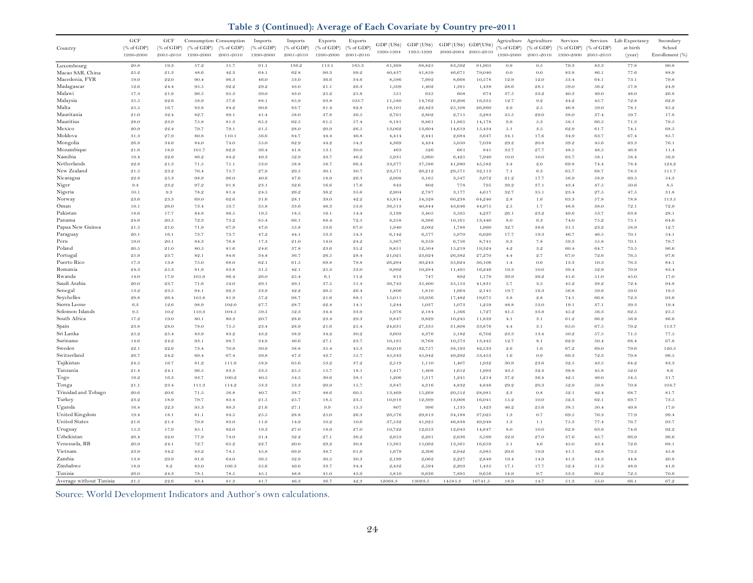**Table 3 (Continued): Average of Each Covariate by Country pre-2011**

|                         | GCF           | GCF                   |              | Consumption Consumption | Imports      | Imports      | Exports      | Exports       |                  |                 |                      |                  |                 | Agriculture Agriculture | Services                     | Services     | Life Expectancy | Secondary       |
|-------------------------|---------------|-----------------------|--------------|-------------------------|--------------|--------------|--------------|---------------|------------------|-----------------|----------------------|------------------|-----------------|-------------------------|------------------------------|--------------|-----------------|-----------------|
| Country                 | $(%$ of GDP)  | $(\% \text{ of GDP})$ | (% of GDP)   | (% of GDP)              | $(%$ of GDP) | $(%$ of GDP) | $(%$ of GDP) | (% of GDP)    | GDP (US\$)       | GDP (US\$)      | GDP (US\$) GDP(US\$) |                  | % of GDP        | $(% ^{66}$ of GDP)      | $(% \mathcal{L}_{0}$ of GDP) | (% of GDP)   | at birth        | School          |
|                         | 1990-2000     | 2001-2010             | 1990-2000    | 2001-2010               | 1990-2000    | 2001-2010    | 1990-2000    | 2001-2010     | 1990-1994        | 1995-1999       | 2000-2004 2005-2010  |                  | 1990-2000       | 2001-2010               | 1990-2000                    | 2001-2010    | (year)          | Enrollement (%) |
|                         |               |                       |              |                         |              |              |              |               |                  |                 |                      |                  |                 |                         |                              |              |                 |                 |
| Luxembourg              | 20.8          | 19.3                  | 57.2         | 51.7                    | 91.1         | 136.2        | 113.1        | 165.3         | 61,368           | 68,825          | 83,592               | 91,905           | 0.9             | $0.5\,$                 | 79.3                         | 83.3         | 77.8            | 90.8            |
| Macao SAR, China        | 25.2          | 21.3                  | 48.6         | 42.3                    | 64.1         | 62.8         | 90.3         | 99.2          | 40,437           | 41,859          | 46,671               | 79,040           | 0.0             | 0.0                     | 83.8                         | 86.1         | 77.6            | 88.9            |
| Macedonia, FYR          | 19.0          | 22.0                  | 90.4         | 96.3                    | 46.0         | 53.0         | 36.6         | 34.6          | 8,596            | 7,992           | 8,668                | 10,578           | 12.9<br>28.6    | 12.0                    | 53.4<br>59.0                 | 64.1         | 73.1            | 79.8            |
| Madagascar<br>Malawi    | 12.6<br>17.3  | 24.4<br>21.9          | 95.5<br>96.5 | 92.2<br>95.3            | 29.2<br>39.0 | 43.0<br>43.0 | 21.1<br>25.2 | 26.3<br>25.8  | 1,509<br>551     | 1,402<br>635    | 1,381<br>608         | 1,438<br>674     | 37.5            | 28.1<br>33.2            | 40.3                         | 56.2<br>49.0 | 57.8<br>48.0    | 24.9<br>26.8    |
| Malaysia                | $3\,5.5$      | 22.6                  | 58.9         | 57.6                    | 88.1         | 85.9         | 93.8         | 105.7         | 11,580           | 14,762          | 16,206               | 19,335           | 12.7            | 9.2                     | 44.2                         | 45.7         | 72.8            | 62.9            |
| Malta                   | 9.5.5         | 16.7                  | 83.8         | 84.2                    | 90.6         | 83.7         | 81.4         | 89.8          | 18,101           | 22,423          | 25,108               | 26,860           | 9.9             | 9.5                     | 46.8                         | 59.0         | 78.1            | 85.2            |
| Mauritania              | 21.0          | 32.4                  | 82.7         | 89.1                    | 41.4         | 58.0         | 37.8         | 36.5          | 2,761            | 2,802           | 2,715                | 3,283            | 35.5            | 29.0                    | 38.0                         | 37.4         | 59.7            | 17.8            |
| Mauritius               | 28.0          | 23.9                  | 75.8         | 81.3                    | 65.3         | 62.5         | $6\,1.5$     | 57.4          | 8,181            | 9,861           | 11,865               | 14,178           | 9.9             | $5.3\,$                 | 58.1                         | 66.5         | 71.3            | 79.5            |
| Mexico                  | 20.9          | 22.4                  | 79.7         | 79.1                    | $2\,1.5$     | 28.0         | 20.9         | 26.5          | 13,062           | 13,604          | 14,619               | 15,434           | 5.1             | 3.5                     | 62.9                         | 61.7         | 74.1            | 68.5            |
| Moldova                 | 31.3          | 27.9                  | 80.8         | 110.1                   | 56.6         | 84.7         | 44.4         | 46.8          | 4,414            | 2,441           | 2,684                | 3,647            | 34.1            | 17.6                    | 34.9                         | 63.7         | 67.4            | 85.7            |
| Mongolia                | 26.8          | 34.6                  | 84.0         | 74.0                    | 55.0         | 62.9         | 44.2         | 54.3          | 4,369            | 4,434           | 5,050                | 7,038            | 29.2            | 20.8                    | 39.2                         | 45.6         | 63.3            | 76.1            |
| Mozambique              | $2\,1.6$      | 18.9                  | 101.7        | 92.9                    | 36.4         | 4.1.8        | 13.1         | $30.0\,$      | 463              | 526             | 661                  | 841              | 33.7            | 27.7                    | 48.5                         | 48.5         | 46.8            | 11.4            |
| Namibia                 | 19.4          | 22.6                  | 86.2         | 84.2                    | 49.3         | 52.9         | 43.7         | 46.2          | 5,931            | 5,960           | 6,425                | 7,940            | 10.0            | 10.0                    | 63.7                         | 58.1         | 58.4            | 56.9            |
| Netherlands             | 22.8          | 21.3                  | 71.5         | 71.1                    | 53.0         | 58.8         | 58.7         | 66.4          | 33,377           | 37,586          | 41,980               | 45,582           | 3.4             | 2.0                     | 69.8                         | 74.4         | 78.4            | 124.2           |
| New Zealand             | $2\,1.5$      | 23.2                  | 76.4         | 75.7                    | 27.9         | 29.5         | 30.1         | 30.7          | 23,571           | 26,212          | 29,571               | 32,113           | 7.1             | 6.3                     | 65.7                         | 68.7         | 78.3            | 111.7           |
| Nicaragua               | 22.8          | 25.3                  | 98.9         | 96.0                    | 40.6         | 47.6         | 18.9         | 26.3          | 2,908            | 3,165           | 3,547                | 3,972            | 21.2            | 17.7                    | 56.9                         | 58.9         | 69.5            | 54.3            |
| Niger                   | 9.4           | 23.2                  | 97.2         | 91.8                    | 23.1         | 32.6         | 16.6         | 17.6          | 843              | 802             | 778                  | 795              | 39.2            | 37.1                    | 43.4                         | 47.5         | 50.6            | $8.5\,$         |
| Nigeria                 | 10.1          | 9.3                   | 78.2         | 81.4                    | 24.5         | 26.2         | 36.2         | 35.6          | 2,904            | 2,787           | 3,177                | 4,617            | 32.7            | 35.1                    | 23.4                         | 27.5         | 47.5            | 31.8            |
| Norway                  | 23.6          | 23.3                  | 69.0         | 62.6                    | 31.6         | 28.1         | 39.0         | 42.2          | 45,814           | 54,528          | 60,238               | 64,240           | $2.8\,$         | 1.6                     | 63.3                         | 57.8         | 78.8            | 113.5           |
| Oman                    | 16.1<br>18.6  | 26.0                  | 73.4         | 53.7                    | 35.8         | 33.6         | 46.3         | 53.9          | 36,513           | 40,844          | 43,646               | 44,975           | $2.5\,$         | 1.7                     | 48.8                         | 38.0         | 72.1            | 72.9            |
| Pakistan<br>Panama      | 24.6          | 17.7<br>20.5          | 84.8<br>72.3 | 86.5<br>73.2            | 19.5<br>85.4 | 18.5<br>66.1 | 16.1<br>88.4 | 14.4<br>72.5  | 3,199<br>8,358   | 3,405<br>9,366  | 3,595<br>10,161      | 4,237<br>13,440  | 26.1<br>$8.0\,$ | 23.2<br>6.3             | 49.6<br>74.0                 | 53.7<br>75.2 | 63.8<br>75.1    | 28.1<br>64.6    |
| Papua New Guinea        | $2\,1.5$      | 21.0                  | 71.9         | 67.9                    | 47.0         | 55.8         | 53.6         | 67.0          | 1,940            | 2,082           | 1,788                | 1,960            | 32.7            | 38.6                    | 31.1                         | 23.2         | 58.9            | 12.7            |
| Paraguay                | 20.1          | 16.1                  | 73.7         | 73.7                    | 47.2         | 44.1         | 53.3         | 54.3          | 6,142            | 6,577           | 5,970                | 6,620            | 17.7            | 19.3                    | 46.7                         | $46.5\,$     | 70.1            | 54.1            |
| Peru                    | 19.0          | 20.1                  | 84.3         | 76.8                    | 17.3         | 21.0         | 14.0         | 24.2          | 5,367            | 6,359           | 6,756                | 8,741            | 9.3             | $7.8\,$                 | 59.3                         | 55.8         | 70.1            | 79.7            |
| Poland                  | 20.5          | 21.0                  | 80.5         | 81.6                    | 24.6         | 37.8         | 23.6         | 35.2          | 9,851            | 12,504          | 15,219               | 19,324           | 4.2             | 3.2                     | 60.4                         | 64.7         | 73.5            | 96.6            |
| Portugal                | 25.9          | 23.7                  | 82.1         | $84.6\,$                | 34.4         | 36.7         | 26.5         | 28.4          | 21,021           | 23,624          | 26,382               | 27,270           | 4.4             | 9.7                     | 67.0                         | 72.6         | 76.5            | 97.6            |
| Puerto Rico             | 17.3          | 13.8                  | 75.0         | 68.0                    | 62.1         | 61.5         | 69.8         | 79.8          | 26,294           | 30,243          | 35,624               | 36,106           | 1.4             | 0.6                     | 13.3                         | 10.3         | 76.3            | 84.1            |
| Romania                 | 24.3          | 25.3                  | 81.9         | 83.8                    | 31.5         | 49.1         | 25.3         | 33.0          | 9,992            | 10,284          | 11,495               | 16,249           | 19.3            | 10.0                    | 39.4                         | 52.9         | 70.9            | 83.4            |
| Rwanda                  | 14.0          | 17.9                  | 105.9        | 96.4                    | 26.0         | 25.4         | 6.1          | 11.2          | $8\,13$          | 747             | 892                  | 1,179            | 39.9            | 36.2                    | 41.6                         | 51.0         | 45.0            | 17.0            |
| Saudi Arabia            | 20.0          | 23.7                  | 71.6         | 54.0                    | 29.1         | 29.1         | 37.5         | 51.4          | 36,743           | 35,400          | 35,153               | 41,831           | 5.7             | $3.5\,$                 | 45.2                         | 38.2         | 72.4            | 94.8            |
| Senegal                 | 13.2          | 23.5                  | 94.1         | 92.3                    | 33.9         | 42.2         | 26.5         | 26.4          | 1,806            | 1,810           | 1,964                | 2,141            | 19.7            | 16.3                    | 56.8                         | 59.6         | 59.0            | 19.5            |
| Seychelles              | 29.8          | 26.4                  | 105.8        | 81.9                    | 57.2         | 98.7         | 21.6         | 88.1          | 15,011           | 16,936          | 17,482               | 19,675           | $3.8\,$         | $2.8\,$                 | 74.1                         | 66.8         | 72.3            | 93.6            |
| Sierra Leone            | 6.3           | 12.6                  | 98.9         | 102.0                   | 97.7         | 98.7         | 99.4         | 14.1          | 1,244            | 1,037           | 1,073                | 1,259            | 48.8            | 53.0                    | 19.1                         | 37.1         | 39.3            | 19.4            |
| Solomon Islands         | $9.5\,$       | 10.2                  | 110.3        | 104.5                   | 59.5         | 52.3         | 34.4         | 33.9          | 1,976            | 2,184           | 1,566                | 1,727            | 41.5            | 33.8                    | 45.2                         | 56.3         | 62.5            | 25.5            |
| South Africa            | 17.2          | 19.0                  | 80.1         | 80.3                    | 20.7         | 28.6         | 23.4         | 29.3          | 9,847            | 9,829           | 10,245               | 11,839           | 4.1             | 3.1                     | 61.2                         | 66.2         | 56.8            | 86.6            |
| Spain                   | 23.8          | 28.0                  | 78.0         | 75.5                    | 23.4         | 28.9         | 21.6         | 25.4          | 24,631           | 27,335          | 31,808               | 33,876           | 4.4             | 3.1                     | 65.0                         | 67.5         | 79.2            | 113.7           |
| Sri Lanka               | 25.2          | 25.4                  | 83.9         | 83.2                    | 43.2         | 38.9         | 34.2         | 30.2          | 3,603            | 4,376           | 5,182                | 6,702            | 23.3            | 13.4                    | 50.2                         | $5\,7.5$     | 71.5            | 77.5            |
| Suriname                | 14.6<br>99.1  | 24.2<br>22.6          | 93.1<br>73.4 | 98.7<br>70.9            | 34.9<br>30.9 | 46.6<br>38.8 | 27.1<br>35.4 | 23.7<br>4.5.3 | 10,191<br>30,016 | 9,768<br>32,757 | 10,573<br>38,193     | 13,445<br>42,533 | 12.7<br>9.6     | 8.1<br>1.6              | 62.9<br>67.2                 | 50.4<br>69.0 | 68.4<br>79.6    | 67.8<br>120.5   |
| Sweden<br>Switzerland   | 26.7          | 9.4.9                 | 69.4         | 67.4                    | 39.8         | 47.3         | 43.7         | $5\,5.7$      | 45,343           | 45,942          | 49,292               | 53,453           | 1.6             | 0.9                     | 69.3                         | 72.3         | 79.8            | $96.5\,$        |
| Tajikistan              | 9.4.5         | 16.7                  | 81.9         | 111.6                   | 58.9         | 65.6         | 53.9         | 37.2          | 2,519            | 1,110           | 1,407                | 1,932            | 30.9            | 23.6                    | 39.5                         | 4.3.5        | 64.9            | 83.3            |
| Tanzania                | $2\,1.4$      | 24.1                  | 96.5         | $83.3\,$                | $3\,3.5$     | $2\,5.5$     | 15.7         | 18.1          | 1,417            | 1,408           | 1,612                | 1,993            | $43.5\,$        | 32.4                    | 39.8                         | $4.5.8\,$    | 52.0            | $8.6\,$         |
| Togo                    | 16.2          | 16.3                  | 93.7         | 100.2                   | $40.5\,$     | 54.5         | $30.6\,$     | 38.1          | 1,206            | 1,317           | 1,241                | 1,214            | 37.2            | 36.4                    | 42.1                         | 46.0         | 54.5            | 31.7            |
| Tonga                   | $2\,1.1$      | $23.4\,$              | 111.3        | 114.2                   | 53.3         | 53.3         | 20.9         | 15.7          | 3,847            | 4,316           | 4,832                | 4,848            | 29.2            | 20.3                    | 52.9                         | 59.8         | 70.8            | 104.7           |
| Trinidad and Tobago     | $\sqrt{20.6}$ | 20.6                  | 71.5         | $56.8\,$                | 40.7         | 38.7         | 48.6         | 60.5          | 13,469           | 15,268          | 20,512               | 28,981           | $2.3\,$         | 0.8                     | 52.1                         | 42.4         | 68.7            | 81.7            |
| Turkey                  | $2\,3.2$      | 18.9                  | 79.7         | $83.4\,$                | $2\,1.5$     | 25.7         | $1\,8.5$     | 23.5          | 10,918           | 12,399          | 13,008               | 16,041           | 15.2            | 10.0                    | 52.3                         | 62.1         | 69.7            | $7\,3.5$        |
| Uganda                  | 16.4          | 22.3                  | 95.3         | $89.3\,$                | $2\,1.6$     | 27.1         | $9.9\,$      | 15.5          | 807              | 996             | 1,135                | 1,423            | $46.2\,$        | 25.6                    | $38.1\,$                     | 50.4         | 49.8            | 17.0            |
| United Kingdom          | 19.4          | 18.1                  | $8\,1.1$     | $84.5\,$                | $2\,5.5$     | $2\,8.8$     | 25.0         | 26.3          | 26,576           | 29,813          | 34,188               | 37,025           | $1.3\,$         | $0.7\,$                 | 69.5                         | 76.3         | 77.9            | 99.4            |
| <b>United States</b>    | $2\,1.6$      | 21.4                  | 79.8         | $83.0\,$                | 11.6         | 14.9         | 10.2         | 10.6          | 37,532           | 41,925          | 46,838               | 49,948           | $1.3\,$         | 1.1                     | 75.3                         | 77.4         | 76.7            | 93.7            |
| Uruguay                 | 15.3          | 17.9                  | 85.1         | 82.0                    | 19.3         | 27.0         | 18.9         | 27.0          | 10,722           | 12,653          | 12,043               | 14,847           | 8.0             | 10.0                    | 62.8                         | 63.9         | 74.6            | 92.2            |
| Uzbekistan              | 26.4          | 22.0                  | 77.9         | 74.0                    | 31.4         | 32.2         | 27.1         | 36.2          | 2,653            | 2,291           | 2,636                | 3,599            | 32.9            | 27.0                    | 37.6                         | 4.5.7        | 66.9            | 96.6            |
| Venezuela, RB           | 20.9          | 24.1                  | 72.7         | 65.2                    | 22.7         | 20.0         | 29.2         | 30.8          | 15,361           | 15,092          | 13,561               | 16,659           | 5.1             | 4.6                     | 45.0                         | 43.4         | 72.6            | 68.1            |
| Vietnam                 | 23.9          | 34.2                  | 83.2         | 74.1                    | 45.8         | 69.9         | 38.7         | 61.6          | 1,679            | 2,306           | 2,942                | 3,985            | 29.6            | 19.9                    | 41.1                         | 42.8         | 73.3            | 45.8            |
| Zambia                  | 13.8          | 29.9                  | 91.6         | 64.0                    | 36.5         | 32.9         | 30.5         | 30.3          | 2,199            | 2,062           | 2,227                | 2,849            | 19.4            | 14.9                    | 41.3                         | 54.3         | 44.8            | 20.8            |
| Zimbabwe                | 18.9          | 8.2                   | 83.0         | 106.3                   | 35.6         | 49.0         | 33.7         | 34.4          | 2,432            | 2,594           | 2,203                | 1,435            | 17.1            | 17.7                    | 52.4                         | 51.3         | 48.9            | 41.9            |
| Tunisia                 | 26.0          | 24.3                  | 78.1         | $7\,8.5$                | 4.5.1        | 48.8         | 41.0         | 45.9          | 5,810            | 6,636           | 7,895                | 9,656            | 14.9            | 9.7                     | 53.3                         | 60.2         | 72.5            | 70.6            |
| Average without Tunisia | 21.5          | 22.6                  | 83.4         | $8\,1.3$                | 41.7         | 46.3         | 36.7         | 42.3          | 12068.3          | 13093.5         | 14585.3              | 16741.5          | 18.9            | 14.7                    | 51.3                         | 55.0         | 66.1            | 67.2            |

Source: World Development Indicators and Author's own calculations.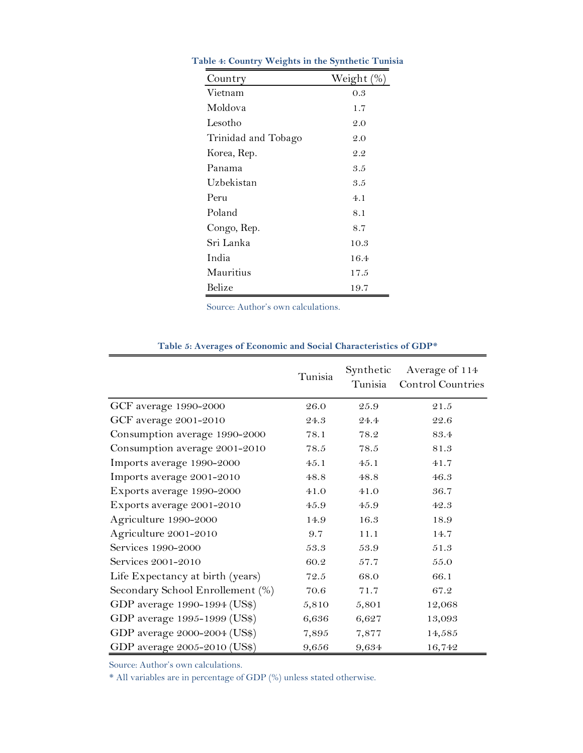| Country             | Weight (% |
|---------------------|-----------|
| Vietnam             | 0.3       |
| Moldova             | 1.7       |
| Lesotho             | 2.0       |
| Trinidad and Tobago | 2.0       |
| Korea, Rep.         | 2.2       |
| Panama              | 3.5       |
| Uzbekistan          | 3.5       |
| Peru                | 4.1       |
| Poland              | 8.1       |
| Congo, Rep.         | 8.7       |
| Sri Lanka           | 10.3      |
| India               | 16.4      |
| Mauritius           | 17.5      |
| Belize              | 19.7      |

<span id="page-24-0"></span>**Table 4: Country Weights in the Synthetic Tunisia**

Source: Author's own calculations.

<span id="page-24-1"></span>

| $\circ$                          |          |                      |                                     |
|----------------------------------|----------|----------------------|-------------------------------------|
|                                  | Tunisia  | Synthetic<br>Tunisia | Average of 114<br>Control Countries |
| GCF average 1990-2000            | 26.0     | 25.9                 | 21.5                                |
| GCF average 2001-2010            | 24.3     | 24.4                 | 22.6                                |
| Consumption average 1990-2000    | 78.1     | 78.2                 | 83.4                                |
| Consumption average 2001-2010    | 78.5     | 78.5                 | 81.3                                |
| Imports average 1990-2000        | 45.1     | 45.1                 | 41.7                                |
| Imports average 2001-2010        | 48.8     | 48.8                 | 46.3                                |
| Exports average 1990-2000        | $41.0\,$ | 41.0                 | 36.7                                |
| Exports average 2001-2010        | 45.9     | 45.9                 | 42.3                                |
| Agriculture 1990-2000            | 14.9     | 16.3                 | 18.9                                |
| Agriculture 2001-2010            | 9.7      | 11.1                 | 14.7                                |
| Services 1990-2000               | 53.3     | 53.9                 | $51.3\,$                            |
| Services 2001-2010               | 60.2     | 57.7                 | $55.0\,$                            |
| Life Expectancy at birth (years) | 72.5     | 68.0                 | 66.1                                |
| Secondary School Enrollement (%) | 70.6     | 71.7                 | 67.2                                |
| GDP average 1990-1994 (US\$)     | 5,810    | 5,801                | 12,068                              |
| GDP average 1995-1999 (US\$)     | 6,636    | 6,627                | 13,093                              |
| GDP average 2000-2004 (US\$)     | 7,895    | 7,877                | 14,585                              |
| GDP average 2005-2010 (US\$)     | 9,656    | 9,634                | 16,742                              |

#### **Table 5: Averages of Economic and Social Characteristics of GDP\***

Source: Author's own calculations.

\* All variables are in percentage of GDP (%) unless stated otherwise.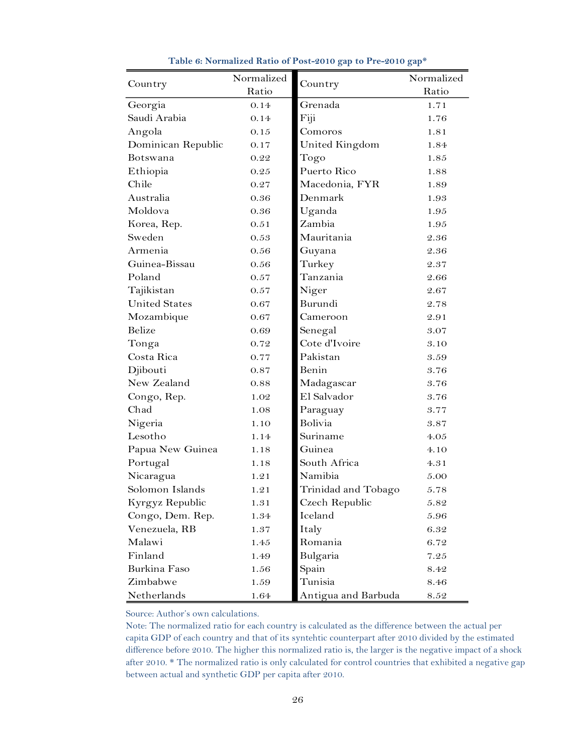<span id="page-25-0"></span>

|                      | Normalized |                     | Normalized |  |  |
|----------------------|------------|---------------------|------------|--|--|
| Country              | Ratio      | Country             | Ratio      |  |  |
| Georgia              | 0.14       | Grenada             | 1.71       |  |  |
| Saudi Arabia         | 0.14       | Fiji                | 1.76       |  |  |
| Angola               | 0.15       | Comoros             | 1.81       |  |  |
| Dominican Republic   | 0.17       | United Kingdom      | 1.84       |  |  |
| Botswana             | 0.22       | Togo                | 1.85       |  |  |
| Ethiopia             | 0.25       | Puerto Rico         | 1.88       |  |  |
| Chile                | 0.27       | Macedonia, FYR      | 1.89       |  |  |
| Australia            | 0.36       | Denmark             | 1.93       |  |  |
| Moldova              | 0.36       | Uganda              | 1.95       |  |  |
| Korea, Rep.          | 0.51       | Zambia              | 1.95       |  |  |
| Sweden               | 0.53       | Mauritania          | 2.36       |  |  |
| Armenia              | 0.56       | Guyana              | 2.36       |  |  |
| Guinea-Bissau        | 0.56       | Turkey              | 2.37       |  |  |
| Poland               | 0.57       | Tanzania            | 2.66       |  |  |
| Tajikistan           | 0.57       | Niger               | 2.67       |  |  |
| <b>United States</b> | 0.67       | Burundi             | 2.78       |  |  |
| Mozambique           | 0.67       | Cameroon            | 2.91       |  |  |
| Belize               | 0.69       | Senegal             | 3.07       |  |  |
| Tonga                | 0.72       | Cote d'Ivoire       | 3.10       |  |  |
| Costa Rica           | 0.77       | Pakistan            | 3.59       |  |  |
| Djibouti             | 0.87       | Benin               | 3.76       |  |  |
| New Zealand          | 0.88       | Madagascar          | 3.76       |  |  |
| Congo, Rep.          | 1.02       | El Salvador         | 3.76       |  |  |
| Chad                 | 1.08       | Paraguay            | 3.77       |  |  |
| Nigeria              | 1.10       | Bolivia             | 3.87       |  |  |
| Lesotho              | 1.14       | Suriname            | 4.05       |  |  |
| Papua New Guinea     | 1.18       | Guinea              | 4.10       |  |  |
| Portugal             | 1.18       | South Africa        | 4.31       |  |  |
| Nicaragua            | 1.21       | Namibia             | 5.00       |  |  |
| Solomon Islands      | 1.21       | Trinidad and Tobago | 5.78       |  |  |
| Kyrgyz Republic      | 1.31       | Czech Republic      | $5.82\,$   |  |  |
| Congo, Dem. Rep.     | 1.34       | Iceland             | 5.96       |  |  |
| Venezuela, RB        | 1.37       | Italy               | 6.32       |  |  |
| Malawi               | 1.45       | Romania             | 6.72       |  |  |
| Finland              | 1.49       | Bulgaria            | 7.25       |  |  |
| Burkina Faso         | 1.56       | Spain               | 8.42       |  |  |
| Zimbabwe             | 1.59       | Tunisia             | 8.46       |  |  |
| Netherlands          | 1.64       | Antigua and Barbuda | 8.52       |  |  |

**Table 6: Normalized Ratio of Post-2010 gap to Pre-2010 gap\***

Source: Author's own calculations.

 Note: The normalized ratio for each country is calculated as the difference between the actual per capita GDP of each country and that of its syntehtic counterpart after 2010 divided by the estimated difference before 2010. The higher this normalized ratio is, the larger is the negative impact of a shock after 2010. \* The normalized ratio is only calculated for control countries that exhibited a negative gap between actual and synthetic GDP per capita after 2010.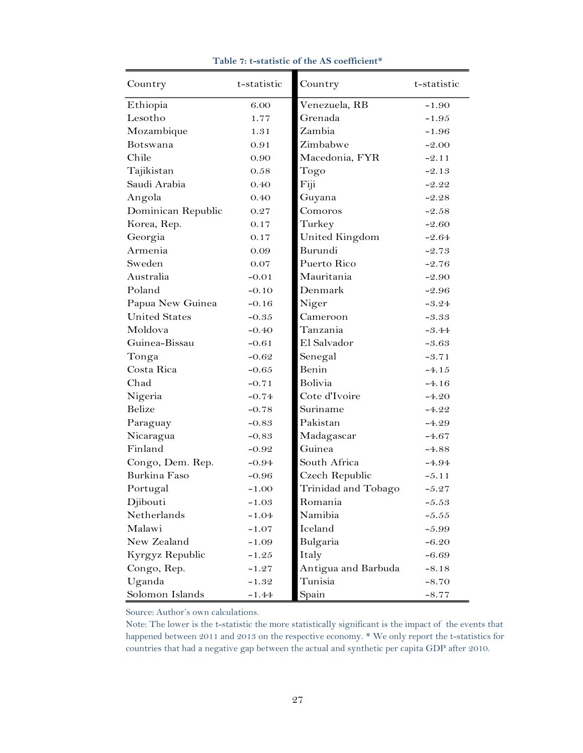<span id="page-26-0"></span>

| Country              | t-statistic | Country             | t-statistic |
|----------------------|-------------|---------------------|-------------|
| Ethiopia             | 6.00        | Venezuela, RB       | $-1.90$     |
| Lesotho              | 1.77        | Grenada             | $-1.95$     |
| Mozambique           | 1.31        | Zambia              | $-1.96$     |
| <b>Botswana</b>      | 0.91        | Zimbabwe            | $-2.00$     |
| Chile                | 0.90        | Macedonia, FYR      | $-2.11$     |
| Tajikistan           | 0.58        | Togo                | $-2.13$     |
| Saudi Arabia         | 0.40        | Fiji                | $-2.22$     |
| Angola               | 0.40        | Guyana              | $-2.28$     |
| Dominican Republic   | 0.27        | Comoros             | $-2.58$     |
| Korea, Rep.          | 0.17        | Turkey              | $-2.60$     |
| Georgia              | 0.17        | United Kingdom      | -2.64       |
| Armenia              | 0.09        | Burundi             | $-2.73$     |
| Sweden               | 0.07        | Puerto Rico         | $-2.76$     |
| Australia            | $-0.01$     | Mauritania          | $-2.90$     |
| Poland               | $-0.10$     | Denmark             | $-2.96$     |
| Papua New Guinea     | $-0.16$     | Niger               | $-3.24$     |
| <b>United States</b> | $-0.35$     | Cameroon            | $-3.33$     |
| Moldova              | $-0.40$     | Tanzania            | $-3.44$     |
| Guinea-Bissau        | $-0.61$     | El Salvador         | $-3.63$     |
| Tonga                | $-0.62$     | Senegal             | $-3.71$     |
| Costa Rica           | $-0.65$     | Benin               | $-4.15$     |
| Chad                 | $-0.71$     | <b>Bolivia</b>      | $-4.16$     |
| Nigeria              | $-0.74$     | Cote d'Ivoire       | $-4.20$     |
| Belize               | $-0.78$     | Suriname            | $-4.22$     |
| Paraguay             | $-0.83$     | Pakistan            | $-4.29$     |
| Nicaragua            | $-0.83$     | Madagascar          | $-4.67$     |
| Finland              | $-0.92$     | Guinea              | $-4.88$     |
| Congo, Dem. Rep.     | $-0.94$     | South Africa        | $-4.94$     |
| Burkina Faso         | -0.96       | Czech Republic      | $-5.11$     |
| Portugal             | $-1.00$     | Trinidad and Tobago | $-5.27$     |
| Djibouti             | $-1.03$     | Romania             | $-5.53$     |
| Netherlands          | -1.04       | Namibia             | $-5.55$     |
| Malawi               | $-1.07$     | Iceland             | $-5.99$     |
| New Zealand          | $-1.09$     | Bulgaria            | $-6.20$     |
| Kyrgyz Republic      | $-1.25$     | Italy               | $-6.69$     |
| Congo, Rep.          | $-1.27$     | Antigua and Barbuda | $-8.18$     |
| Uganda               | $-1.32$     | Tunisia             | $-8.70$     |
| Solomon Islands      | $-1.44$     | Spain               | $-8.77$     |

#### **Table 7: t-statistic of the AS coefficient\***

Source: Author's own calculations.

 Note: The lower is the t-statistic the more statistically significant is the impact of the events that happened between 2011 and 2013 on the respective economy. \* We only report the t-statistics for countries that had a negative gap between the actual and synthetic per capita GDP after 2010.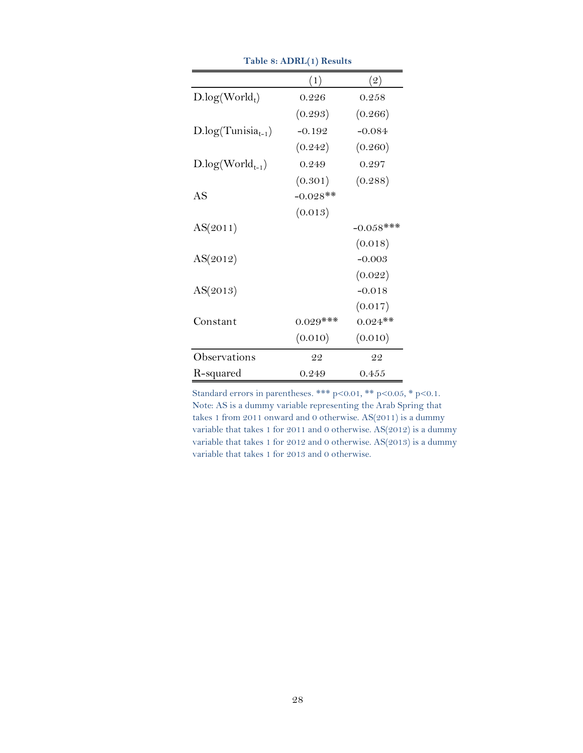<span id="page-27-0"></span>

|                        | (1)        | $\left( 2\right)$ |
|------------------------|------------|-------------------|
| $D.log(World_t)$       | 0.226      | 0.258             |
|                        | (0.293)    | (0.266)           |
| $D log(Tunisia_{t-1})$ | $-0.192$   | $-0.084$          |
|                        | (0.242)    | (0.260)           |
| $D.log(World_{t-1})$   | 0.249      | 0.297             |
|                        | (0.301)    | (0.288)           |
| AS                     | $-0.028**$ |                   |
|                        | (0.013)    |                   |
| AS(2011)               |            | $-0.058$ ***      |
|                        |            | (0.018)           |
| AS(2012)               |            | $-0.003$          |
|                        |            | (0.022)           |
| AS(2013)               |            | $-0.018$          |
|                        |            | (0.017)           |
| Constant               | $0.029***$ | $0.024**$         |
|                        | (0.010)    | (0.010)           |
| Observations           | 22         | 22                |
| R-squared              | 0.249      | 0.455             |

**Table 8: ADRL(1) Results**

Standard errors in parentheses. \*\*\* p<0.01, \*\* p<0.05, \* p<0.1. Note: AS is a dummy variable representing the Arab Spring that takes 1 from 2011 onward and 0 otherwise. AS(2011) is a dummy variable that takes 1 for 2011 and 0 otherwise. AS(2012) is a dummy variable that takes 1 for 2012 and 0 otherwise. AS(2013) is a dummy variable that takes 1 for 2013 and 0 otherwise.